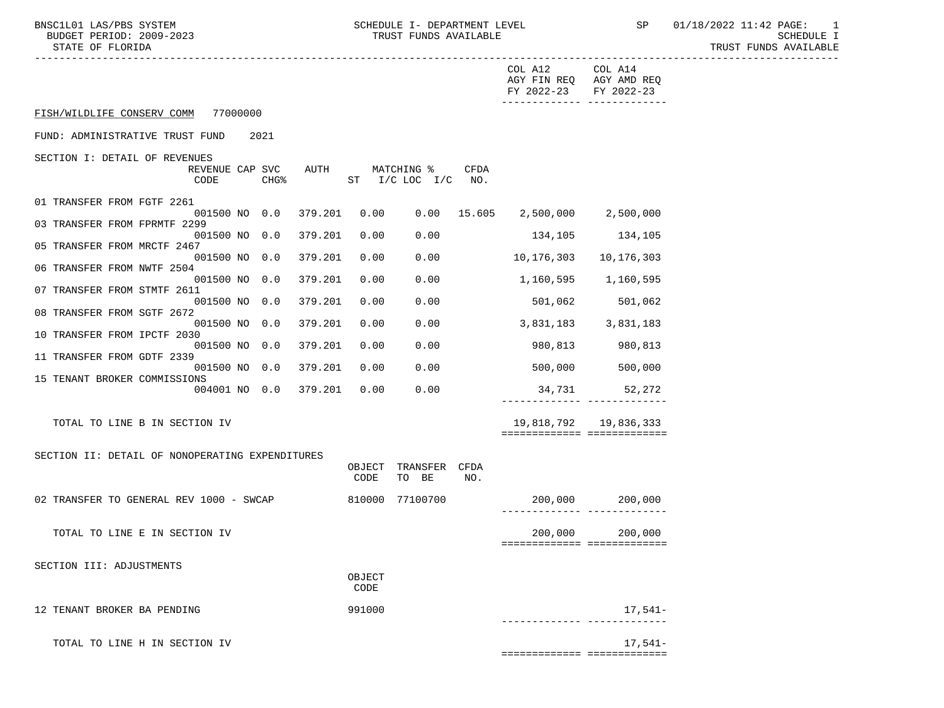|                                                                                      |                |                                      |      | COL A12<br>FY 2022-23 FY 2022-23  | COL A14<br>AGY FIN REQ AGY AMD REQ                   |
|--------------------------------------------------------------------------------------|----------------|--------------------------------------|------|-----------------------------------|------------------------------------------------------|
| FISH/WILDLIFE CONSERV COMM 77000000                                                  |                |                                      |      |                                   |                                                      |
| FUND: ADMINISTRATIVE TRUST FUND<br>2021                                              |                |                                      |      |                                   |                                                      |
| SECTION I: DETAIL OF REVENUES<br>REVENUE CAP SVC<br>AUTH<br>CODE<br>CHG <sup>8</sup> |                | MATCHING %<br>ST $I/C$ LOC $I/C$ NO. | CFDA |                                   |                                                      |
| 01 TRANSFER FROM FGTF 2261<br>001500 NO 0.0<br>379.201                               | 0.00           |                                      |      | $0.00$ 15.605 2,500,000 2,500,000 |                                                      |
| 03 TRANSFER FROM FPRMTF 2299                                                         |                |                                      |      |                                   |                                                      |
| 001500 NO 0.0<br>379.201<br>05 TRANSFER FROM MRCTF 2467                              | 0.00           | 0.00                                 |      |                                   | 134,105 134,105                                      |
| 001500 NO 0.0<br>379.201<br>06 TRANSFER FROM NWTF 2504                               | 0.00           | 0.00                                 |      | 10,176,303                        | 10,176,303                                           |
| 001500 NO 0.0<br>379.201<br>07 TRANSFER FROM STMTF 2611                              | 0.00           | 0.00                                 |      |                                   | 1,160,595 1,160,595                                  |
| 379.201<br>001500 NO 0.0                                                             | 0.00           | 0.00                                 |      |                                   | 501,062 501,062                                      |
| 08 TRANSFER FROM SGTF 2672<br>001500 NO 0.0<br>379.201                               | 0.00           | 0.00                                 |      |                                   | 3,831,183 3,831,183                                  |
| 10 TRANSFER FROM IPCTF 2030<br>001500 NO 0.0<br>379.201                              | 0.00           | 0.00                                 |      | 980,813                           | 980,813                                              |
| 11 TRANSFER FROM GDTF 2339<br>379.201<br>001500 NO 0.0                               | 0.00           | 0.00                                 |      | 500,000                           | 500,000                                              |
| 15 TENANT BROKER COMMISSIONS<br>004001 NO 0.0 379.201                                | 0.00           | 0.00                                 |      | 34,731                            | 52,272                                               |
|                                                                                      |                |                                      |      |                                   | -------------- --------------                        |
| TOTAL TO LINE B IN SECTION IV                                                        |                |                                      |      |                                   | 19,818,792 19,836,333<br>=========================== |
| SECTION II: DETAIL OF NONOPERATING EXPENDITURES                                      |                |                                      |      |                                   |                                                      |
|                                                                                      | OBJECT<br>CODE | TRANSFER CFDA<br>TO BE               | NO.  |                                   |                                                      |
| 02 TRANSFER TO GENERAL REV 1000 - SWCAP                                              |                | 810000 77100700                      |      |                                   |                                                      |
| TOTAL TO LINE E IN SECTION IV                                                        |                |                                      |      | 200,000                           | 200,000<br>===========================               |
| SECTION III: ADJUSTMENTS                                                             |                |                                      |      |                                   |                                                      |
|                                                                                      | OBJECT<br>CODE |                                      |      |                                   |                                                      |
| 12 TENANT BROKER BA PENDING                                                          | 991000         |                                      |      |                                   | $17,541-$                                            |
| TOTAL TO LINE H IN SECTION IV                                                        |                |                                      |      |                                   | $17,541-$                                            |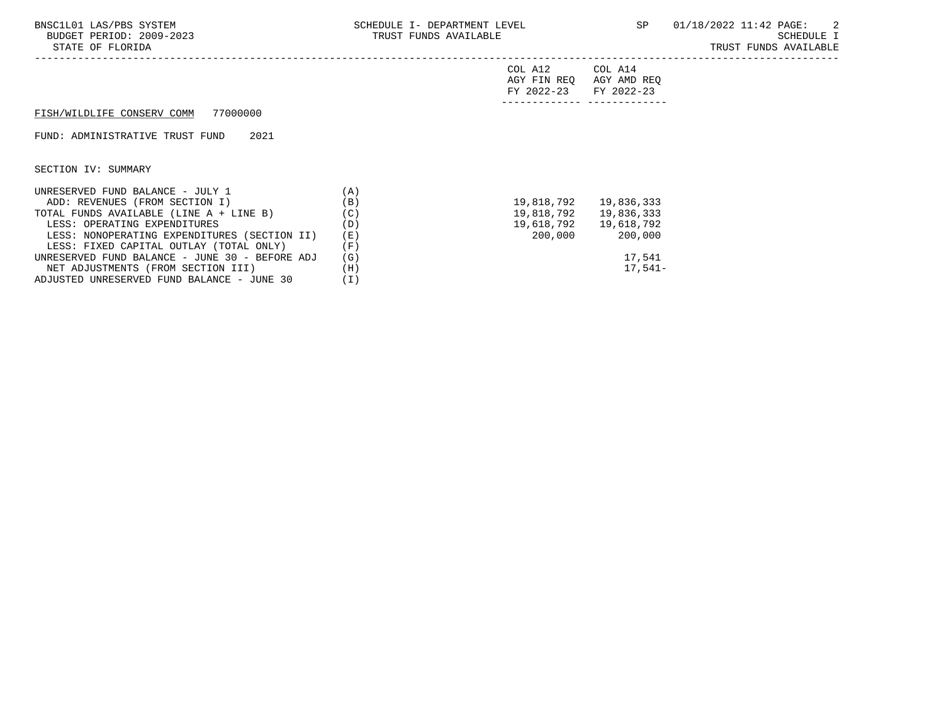-----------------------------------------------------------------------------------------------------------------------------------

| COL A12                 | COL A14 |
|-------------------------|---------|
| AGY FIN REQ AGY AMD REQ |         |
| FY 2022-23 FY 2022-23   |         |
|                         |         |

## FISH/WILDLIFE CONSERV COMM 77000000

FUND: ADMINISTRATIVE TRUST FUND 2021

SECTION IV: SUMMARY

| UNRESERVED FUND BALANCE - JULY 1               | . A )        |            |            |
|------------------------------------------------|--------------|------------|------------|
| ADD: REVENUES (FROM SECTION I)                 | (B)          | 19,818,792 | 19,836,333 |
| TOTAL FUNDS AVAILABLE (LINE A + LINE B)        | $\mathsf{C}$ | 19,818,792 | 19,836,333 |
| LESS: OPERATING EXPENDITURES                   | (D)          | 19,618,792 | 19,618,792 |
| LESS: NONOPERATING EXPENDITURES (SECTION II)   | (E)          | 200,000    | 200,000    |
| LESS: FIXED CAPITAL OUTLAY (TOTAL ONLY)        | F)           |            |            |
| UNRESERVED FUND BALANCE - JUNE 30 - BEFORE ADJ | (G)          |            | 17,541     |
| NET ADJUSTMENTS (FROM SECTION III)             | Ή.,          |            | $17.541-$  |
| ADJUSTED UNRESERVED FUND BALANCE - JUNE 30     | $\bot$ )     |            |            |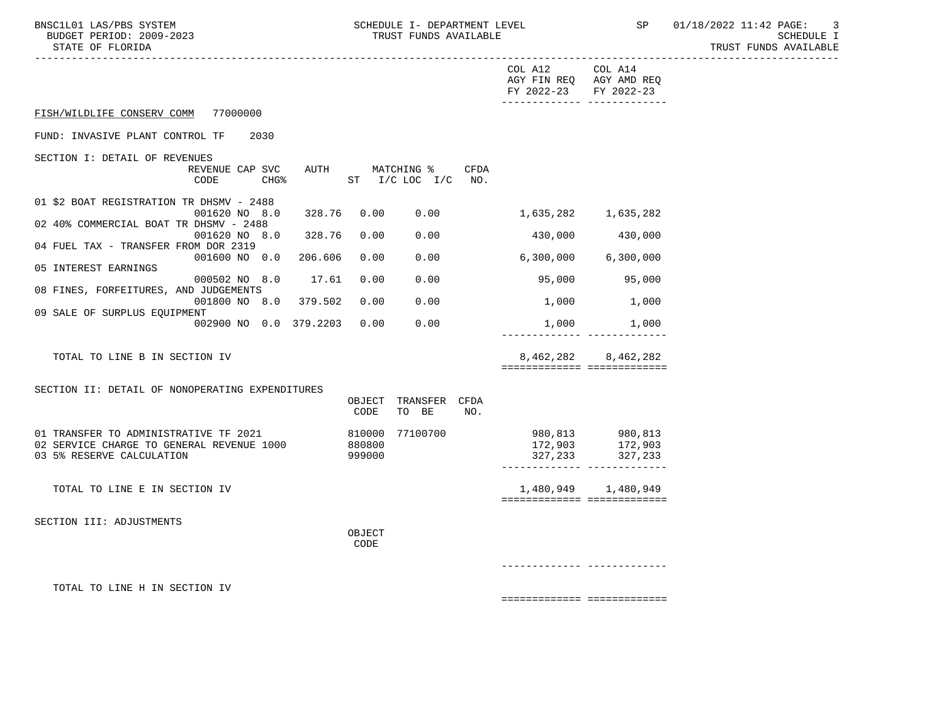BNSC1L01 LAS/PBS SYSTEM SCHEDULE I- DEPARTMENT LEVEL SP 01/18/2022 11:42 PAGE: 3<br>BUDGET PERIOD: 2009-2023 TRUST FUNDS AVAILABLE

TRUST FUNDS AVAILABLE

| STATE OF FLOKIDA                                                    |                                               |                         |                                                                                   | TRUST FUNDS AVAILABLE |
|---------------------------------------------------------------------|-----------------------------------------------|-------------------------|-----------------------------------------------------------------------------------|-----------------------|
|                                                                     |                                               | COL A12<br>FY 2022-23   | COL A14<br>AGY FIN REQ AGY AMD REQ<br>FY 2022-23<br>-------------- -------------- |                       |
| FISH/WILDLIFE CONSERV COMM 77000000                                 |                                               |                         |                                                                                   |                       |
| FUND: INVASIVE PLANT CONTROL TF<br>2030                             |                                               |                         |                                                                                   |                       |
| SECTION I: DETAIL OF REVENUES                                       |                                               |                         |                                                                                   |                       |
| REVENUE CAP SVC<br>CODE<br>CHG <sup>8</sup>                         | AUTH MATCHING %<br>CFDA<br>ST I/C LOC I/C NO. |                         |                                                                                   |                       |
| 01 \$2 BOAT REGISTRATION TR DHSMV - 2488<br>001620 NO 8.0<br>328.76 | 0.00<br>0.00                                  |                         | 1,635,282 1,635,282                                                               |                       |
| 02 40% COMMERCIAL BOAT TR DHSMV - 2488                              |                                               |                         |                                                                                   |                       |
| 001620 NO 8.0<br>328.76                                             | 0.00<br>0.00                                  | 430,000                 | 430,000                                                                           |                       |
| 04 FUEL TAX - TRANSFER FROM DOR 2319<br>001600 NO 0.0 206.606       | 0.00<br>0.00                                  |                         | 6,300,000 6,300,000                                                               |                       |
| 05 INTEREST EARNINGS                                                |                                               |                         |                                                                                   |                       |
| 17.61<br>000502 NO 8.0<br>08 FINES, FORFEITURES, AND JUDGEMENTS     | 0.00<br>0.00                                  | 95,000                  | 95,000                                                                            |                       |
| 001800 NO 8.0 379.502                                               | 0.00<br>0.00                                  | 1,000                   | 1,000                                                                             |                       |
| 09 SALE OF SURPLUS EQUIPMENT                                        |                                               |                         |                                                                                   |                       |
| 002900 NO 0.0 379.2203                                              | 0.00<br>0.00                                  |                         | 1,000 1,000                                                                       |                       |
| TOTAL TO LINE B IN SECTION IV                                       |                                               |                         | 8,462,282 8,462,282<br>============================                               |                       |
| SECTION II: DETAIL OF NONOPERATING EXPENDITURES                     |                                               |                         |                                                                                   |                       |
|                                                                     | OBJECT TRANSFER CFDA<br>CODE<br>TO BE<br>NO.  |                         |                                                                                   |                       |
| 01 TRANSFER TO ADMINISTRATIVE TF 2021                               | 810000 77100700                               |                         |                                                                                   |                       |
| 02 SERVICE CHARGE TO GENERAL REVENUE 1000                           | 880800                                        |                         |                                                                                   |                       |
| 03 5% RESERVE CALCULATION                                           | 999000                                        |                         | 327, 233 327, 233<br>_________________________________                            |                       |
| TOTAL TO LINE E IN SECTION IV                                       |                                               |                         | 1,480,949 1,480,949                                                               |                       |
|                                                                     |                                               |                         | ============================                                                      |                       |
| SECTION III: ADJUSTMENTS                                            |                                               |                         |                                                                                   |                       |
|                                                                     | OBJECT<br>CODE                                |                         |                                                                                   |                       |
|                                                                     |                                               | ______________ ________ |                                                                                   |                       |
| TOTAL TO LINE H IN SECTION IV                                       |                                               |                         |                                                                                   |                       |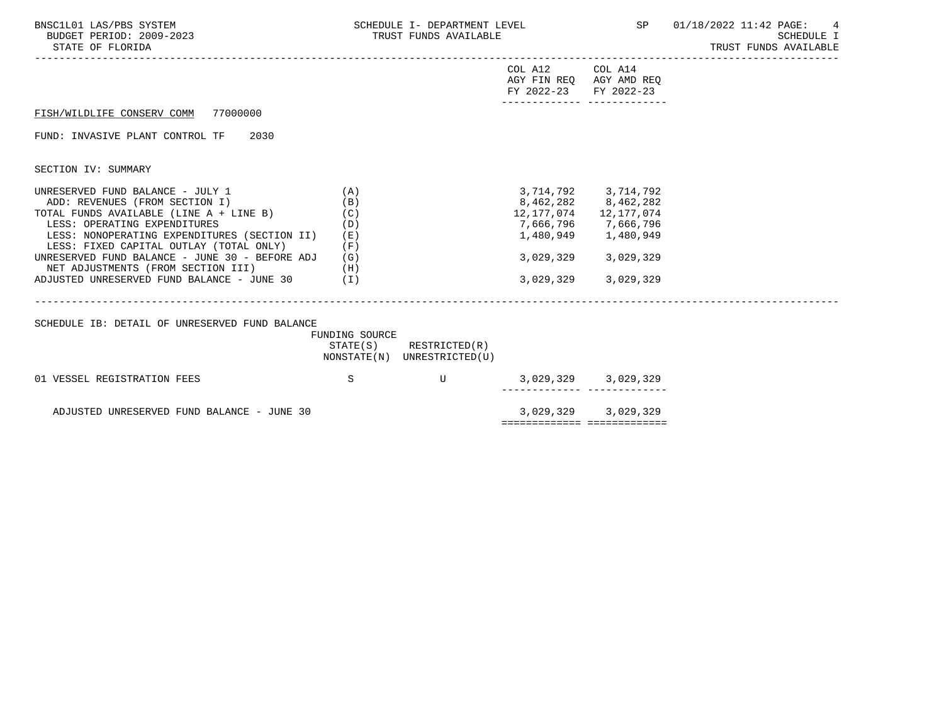| BNSC1L01 LAS/PBS SYSTEM<br>BUDGET PERIOD: 2009-2023<br>STATE OF FLORIDA                                                                                                                                                                                                                                                                                                                | SCHEDULE I- DEPARTMENT LEVEL<br>TRUST FUNDS AVAILABLE |                                                       |                                                                     |                                                                                                                        | SP 01/18/2022 11:42 PAGE: 4<br><b>SCHEDULE I</b><br>TRUST FUNDS AVAILABLE |
|----------------------------------------------------------------------------------------------------------------------------------------------------------------------------------------------------------------------------------------------------------------------------------------------------------------------------------------------------------------------------------------|-------------------------------------------------------|-------------------------------------------------------|---------------------------------------------------------------------|------------------------------------------------------------------------------------------------------------------------|---------------------------------------------------------------------------|
|                                                                                                                                                                                                                                                                                                                                                                                        |                                                       |                                                       | COL A12 COL A14<br>AGY FIN REQ AGY AMD REQ<br>FY 2022-23 FY 2022-23 | -------------- --------------                                                                                          |                                                                           |
| FISH/WILDLIFE CONSERV COMM 77000000                                                                                                                                                                                                                                                                                                                                                    |                                                       |                                                       |                                                                     |                                                                                                                        |                                                                           |
| FUND: INVASIVE PLANT CONTROL TF 2030                                                                                                                                                                                                                                                                                                                                                   |                                                       |                                                       |                                                                     |                                                                                                                        |                                                                           |
| SECTION IV: SUMMARY                                                                                                                                                                                                                                                                                                                                                                    |                                                       |                                                       |                                                                     |                                                                                                                        |                                                                           |
| UNRESERVED FUND BALANCE - JULY 1<br>ADD: REVENUES (FROM SECTION I)<br>TOTAL FUNDS AVAILABLE (LINE A + LINE B)<br>LESS: OPERATING EXPENDITURES<br>LESS: NONOPERATING EXPENDITURES (SECTION II)<br>LESS: FIXED CAPITAL OUTLAY (TOTAL ONLY)<br>UNRESERVED FUND BALANCE - JUNE 30 - BEFORE ADJ<br>NET ADJUSTMENTS (FROM SECTION III) (H)<br>ADJUSTED UNRESERVED FUND BALANCE - JUNE 30 (I) | (A)<br>(B)<br>(C)<br>(D)<br>( E )<br>(F)<br>(G)       |                                                       | 12,177,074 12,177,074<br>3,029,329<br>3,029,329                     | 3, 714, 792 3, 714, 792<br>8,462,282 8,462,282<br>7,666,796 7,666,796<br>1,480,949 1,480,949<br>3,029,329<br>3,029,329 |                                                                           |
| SCHEDULE IB: DETAIL OF UNRESERVED FUND BALANCE                                                                                                                                                                                                                                                                                                                                         | FUNDING SOURCE                                        | STATE(S) RESTRICTED(R)<br>NONSTATE(N) UNRESTRICTED(U) |                                                                     |                                                                                                                        |                                                                           |
| 01 VESSEL REGISTRATION FEES                                                                                                                                                                                                                                                                                                                                                            | $\mathbf S$                                           |                                                       | U 3,029,329 3,029,329                                               | ------- --------                                                                                                       |                                                                           |
| ADJUSTED UNRESERVED FUND BALANCE - JUNE 30                                                                                                                                                                                                                                                                                                                                             |                                                       |                                                       | ============================                                        | 3,029,329 3,029,329                                                                                                    |                                                                           |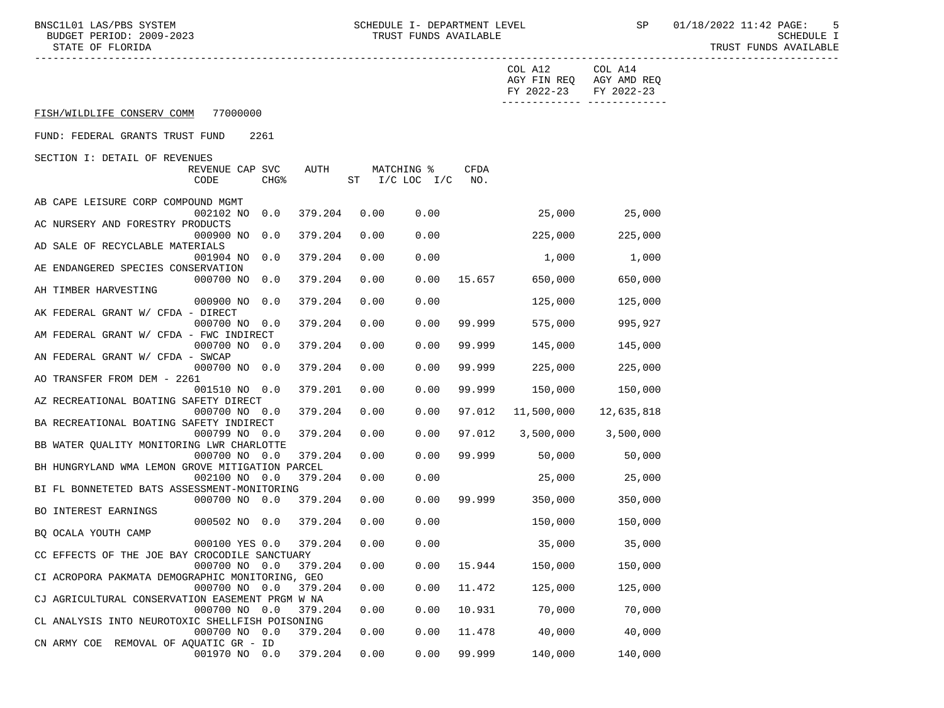BNSC1L01 LAS/PBS SYSTEM SCHEDULE I- DEPARTMENT LEVEL SP 01/18/2022 11:42 PAGE: 5<br>BUDGET PERIOD: 2009-2023 TRUST FUNDS AVAILABLE

|                                                 |                  |         |              |                |               | COL A12<br>FY 2022-23 FY 2022-23 | COL A14<br>AGY FIN REQ AGY AMD REQ |  |
|-------------------------------------------------|------------------|---------|--------------|----------------|---------------|----------------------------------|------------------------------------|--|
| FISH/WILDLIFE CONSERV COMM 77000000             |                  |         |              |                |               |                                  |                                    |  |
| FUND: FEDERAL GRANTS TRUST FUND                 | 2261             |         |              |                |               |                                  |                                    |  |
| SECTION I: DETAIL OF REVENUES                   |                  |         |              |                |               |                                  |                                    |  |
|                                                 | REVENUE CAP SVC  | AUTH    |              | MATCHING %     | CFDA          |                                  |                                    |  |
| CODE                                            | CHG <sup>8</sup> |         |              | ST I/C LOC I/C | NO.           |                                  |                                    |  |
| AB CAPE LEISURE CORP COMPOUND MGMT              |                  |         |              |                |               |                                  |                                    |  |
|                                                 | 002102 NO 0.0    | 379.204 | 0.00         | 0.00           |               | 25,000                           | 25,000                             |  |
| AC NURSERY AND FORESTRY PRODUCTS                |                  |         |              |                |               |                                  |                                    |  |
|                                                 | 000900 NO 0.0    | 379.204 | 0.00         | 0.00           |               | 225,000                          | 225,000                            |  |
| AD SALE OF RECYCLABLE MATERIALS                 |                  |         |              |                |               |                                  |                                    |  |
|                                                 | 001904 NO 0.0    | 379.204 | 0.00         | 0.00           |               | 1,000                            | 1,000                              |  |
| AE ENDANGERED SPECIES CONSERVATION              |                  |         |              |                |               |                                  |                                    |  |
|                                                 | 000700 NO 0.0    | 379.204 | 0.00         | 0.00           | 15.657        | 650,000                          | 650,000                            |  |
| AH TIMBER HARVESTING                            |                  |         |              |                |               |                                  |                                    |  |
|                                                 | 000900 NO 0.0    | 379.204 | 0.00         | 0.00           |               | 125,000                          | 125,000                            |  |
| AK FEDERAL GRANT W/ CFDA - DIRECT               |                  |         |              |                |               |                                  |                                    |  |
|                                                 | 000700 NO 0.0    | 379.204 | 0.00         | 0.00           | 99.999        | 575,000                          | 995,927                            |  |
| AM FEDERAL GRANT W/ CFDA - FWC INDIRECT         |                  |         |              |                |               |                                  |                                    |  |
|                                                 | 000700 NO 0.0    | 379.204 | 0.00         | 0.00           | 99.999        | 145,000                          | 145,000                            |  |
| AN FEDERAL GRANT W/ CFDA - SWCAP                |                  |         |              |                |               |                                  |                                    |  |
|                                                 | 000700 NO 0.0    | 379.204 | 0.00         | 0.00           | 99.999        | 225,000                          | 225,000                            |  |
| AO TRANSFER FROM DEM - 2261                     |                  |         |              |                |               |                                  |                                    |  |
|                                                 | 001510 NO 0.0    | 379.201 | 0.00         | 0.00           | 99.999        | 150,000                          | 150,000                            |  |
| AZ RECREATIONAL BOATING SAFETY DIRECT           |                  |         |              |                |               |                                  |                                    |  |
|                                                 | 000700 NO 0.0    | 379.204 | 0.00         | 0.00           | 97.012        | 11,500,000                       | 12,635,818                         |  |
| BA RECREATIONAL BOATING SAFETY INDIRECT         |                  |         |              |                |               |                                  |                                    |  |
|                                                 | 000799 NO 0.0    | 379.204 | 0.00         | 0.00           | 97.012        | 3,500,000                        | 3,500,000                          |  |
| BB WATER QUALITY MONITORING LWR CHARLOTTE       |                  |         |              |                |               |                                  |                                    |  |
|                                                 | 000700 NO 0.0    | 379.204 | 0.00         | 0.00           | 99.999        | 50,000                           | 50,000                             |  |
| BH HUNGRYLAND WMA LEMON GROVE MITIGATION PARCEL |                  |         |              |                |               |                                  |                                    |  |
|                                                 | 002100 NO 0.0    | 379.204 | 0.00         | 0.00           |               | 25,000                           | 25,000                             |  |
| BI FL BONNETETED BATS ASSESSMENT-MONITORING     |                  |         |              |                |               |                                  |                                    |  |
|                                                 | 000700 NO 0.0    | 379.204 | 0.00         | 0.00           |               | 99.999 350,000                   | 350,000                            |  |
| BO INTEREST EARNINGS                            |                  |         |              |                |               |                                  |                                    |  |
|                                                 | 000502 NO 0.0    | 379.204 | 0.00         | 0.00           |               | 150,000                          | 150,000                            |  |
| BQ OCALA YOUTH CAMP                             |                  |         |              |                |               |                                  |                                    |  |
|                                                 | 000100 YES 0.0   | 379.204 | 0.00         | 0.00           |               | 35,000                           | 35,000                             |  |
| CC EFFECTS OF THE JOE BAY CROCODILE SANCTUARY   |                  |         |              |                |               |                                  |                                    |  |
|                                                 | 000700 NO 0.0    |         | 379.204 0.00 |                | $0.00$ 15.944 | 150,000                          | 150,000                            |  |
| CI ACROPORA PAKMATA DEMOGRAPHIC MONITORING, GEO |                  |         |              |                |               |                                  |                                    |  |
|                                                 | 000700 NO 0.0    | 379.204 | 0.00         | 0.00           | 11.472        | 125,000                          | 125,000                            |  |
| CJ AGRICULTURAL CONSERVATION EASEMENT PRGM W NA |                  |         |              |                |               |                                  |                                    |  |
|                                                 | 000700 NO 0.0    | 379.204 | 0.00         | 0.00           | 10.931        | 70,000                           | 70,000                             |  |
| CL ANALYSIS INTO NEUROTOXIC SHELLFISH POISONING |                  |         |              |                |               |                                  |                                    |  |
|                                                 | 000700 NO 0.0    | 379.204 | 0.00         | 0.00           | 11.478        | 40,000                           | 40,000                             |  |
| CN ARMY COE REMOVAL OF AQUATIC GR - ID          |                  |         |              |                |               |                                  |                                    |  |
|                                                 | 001970 NO 0.0    | 379.204 | 0.00         | 0.00           | 99.999        | 140,000                          | 140,000                            |  |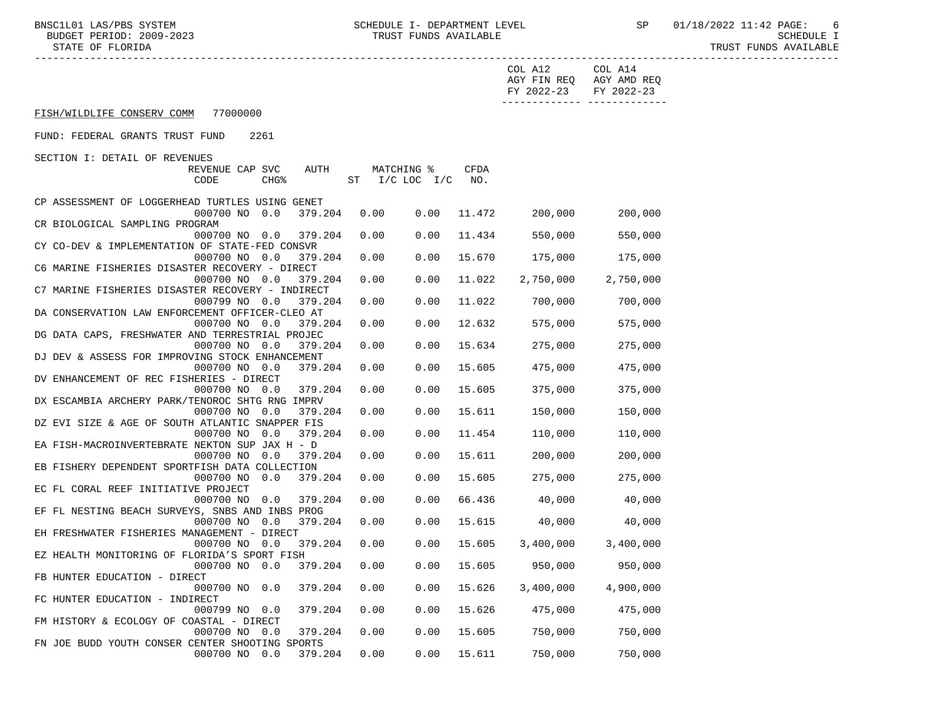|                                                                                                        | COL A12<br>FY 2022-23 | COL A14<br>AGY FIN REQ AGY AMD REQ<br>FY 2022-23 |
|--------------------------------------------------------------------------------------------------------|-----------------------|--------------------------------------------------|
| FISH/WILDLIFE CONSERV COMM 77000000                                                                    |                       |                                                  |
| FUND: FEDERAL GRANTS TRUST FUND<br>2261                                                                |                       |                                                  |
| SECTION I: DETAIL OF REVENUES                                                                          |                       |                                                  |
| AUTH<br>MATCHING %<br>CFDA<br>REVENUE CAP SVC                                                          |                       |                                                  |
| ST I/C LOC I/C<br>CODE<br>CHG <sup>8</sup><br>NO.                                                      |                       |                                                  |
|                                                                                                        |                       |                                                  |
| CP ASSESSMENT OF LOGGERHEAD TURTLES USING GENET                                                        |                       |                                                  |
| 000700 NO 0.0<br>379.204<br>0.00<br>0.00<br>11.472                                                     | 200,000               | 200,000                                          |
| CR BIOLOGICAL SAMPLING PROGRAM                                                                         |                       |                                                  |
| 11.434<br>000700 NO 0.0<br>379.204<br>0.00<br>0.00                                                     | 550,000               | 550,000                                          |
| CY CO-DEV & IMPLEMENTATION OF STATE-FED CONSVR                                                         |                       |                                                  |
| 15.670<br>000700 NO 0.0<br>379.204<br>0.00<br>0.00                                                     | 175,000               | 175,000                                          |
| C6 MARINE FISHERIES DISASTER RECOVERY - DIRECT                                                         |                       |                                                  |
| 11.022<br>000700 NO 0.0<br>0.00<br>0.00<br>379.204<br>C7 MARINE FISHERIES DISASTER RECOVERY - INDIRECT | 2,750,000             | 2,750,000                                        |
| 11.022<br>000799 NO 0.0<br>0.00<br>0.00<br>379.204                                                     | 700,000               | 700,000                                          |
| DA CONSERVATION LAW ENFORCEMENT OFFICER-CLEO AT                                                        |                       |                                                  |
| 000700 NO 0.0<br>379.204<br>0.00<br>0.00<br>12.632                                                     | 575,000               | 575,000                                          |
| DG DATA CAPS, FRESHWATER AND TERRESTRIAL PROJEC                                                        |                       |                                                  |
| 000700 NO 0.0<br>379.204<br>0.00<br>15.634<br>0.00                                                     | 275,000               | 275,000                                          |
| DJ DEV & ASSESS FOR IMPROVING STOCK ENHANCEMENT                                                        |                       |                                                  |
| 000700 NO 0.0<br>379.204<br>0.00<br>0.00<br>15.605                                                     | 475,000               | 475,000                                          |
| DV ENHANCEMENT OF REC FISHERIES - DIRECT                                                               |                       |                                                  |
| 15.605<br>000700 NO 0.0<br>379.204<br>0.00<br>0.00                                                     | 375,000               | 375,000                                          |
| DX ESCAMBIA ARCHERY PARK/TENOROC SHTG RNG IMPRV                                                        |                       |                                                  |
| 15.611<br>000700 NO 0.0<br>379.204<br>0.00<br>0.00                                                     | 150,000               | 150,000                                          |
| DZ EVI SIZE & AGE OF SOUTH ATLANTIC SNAPPER FIS                                                        |                       |                                                  |
| 0.00<br>11.454<br>000700 NO 0.0<br>379.204<br>0.00                                                     | 110,000               | 110,000                                          |
| EA FISH-MACROINVERTEBRATE NEKTON SUP JAX H - D                                                         |                       |                                                  |
| 15.611<br>000700 NO 0.0<br>379.204<br>0.00<br>0.00                                                     | 200,000               | 200,000                                          |
| EB FISHERY DEPENDENT SPORTFISH DATA COLLECTION                                                         |                       |                                                  |
| 15.605<br>000700 NO 0.0<br>379.204<br>0.00<br>0.00                                                     | 275,000               | 275,000                                          |
| EC FL CORAL REEF INITIATIVE PROJECT<br>0.00<br>66.436<br>000700 NO 0.0<br>379.204<br>0.00              | 40,000                | 40,000                                           |
| EF FL NESTING BEACH SURVEYS, SNBS AND INBS PROG                                                        |                       |                                                  |
| 15.615<br>000700 NO 0.0<br>379.204<br>0.00<br>0.00                                                     | 40,000                | 40,000                                           |
| EH FRESHWATER FISHERIES MANAGEMENT - DIRECT                                                            |                       |                                                  |
| 0.00<br>000700 NO 0.0<br>379.204<br>0.00                                                               | 15.605<br>3,400,000   | 3,400,000                                        |
| EZ HEALTH MONITORING OF FLORIDA'S SPORT FISH                                                           |                       |                                                  |
| 000700 NO 0.0 379.204     0.00     0.00     15.605                           950,000                   |                       | 950,000                                          |
| FB HUNTER EDUCATION - DIRECT                                                                           |                       |                                                  |
| 15.626<br>000700 NO 0.0<br>379.204<br>0.00<br>0.00                                                     | 3,400,000             | 4,900,000                                        |
| FC HUNTER EDUCATION - INDIRECT                                                                         |                       |                                                  |
| 15.626<br>000799 NO 0.0<br>379.204<br>0.00<br>0.00                                                     | 475,000               | 475,000                                          |
| FM HISTORY & ECOLOGY OF COASTAL - DIRECT                                                               |                       |                                                  |
| 379.204<br>0.00<br>0.00<br>15.605<br>000700 NO 0.0                                                     | 750,000               | 750,000                                          |
| FN JOE BUDD YOUTH CONSER CENTER SHOOTING SPORTS                                                        |                       |                                                  |
| 15.611<br>000700 NO 0.0<br>379.204<br>0.00<br>0.00                                                     | 750,000               | 750,000                                          |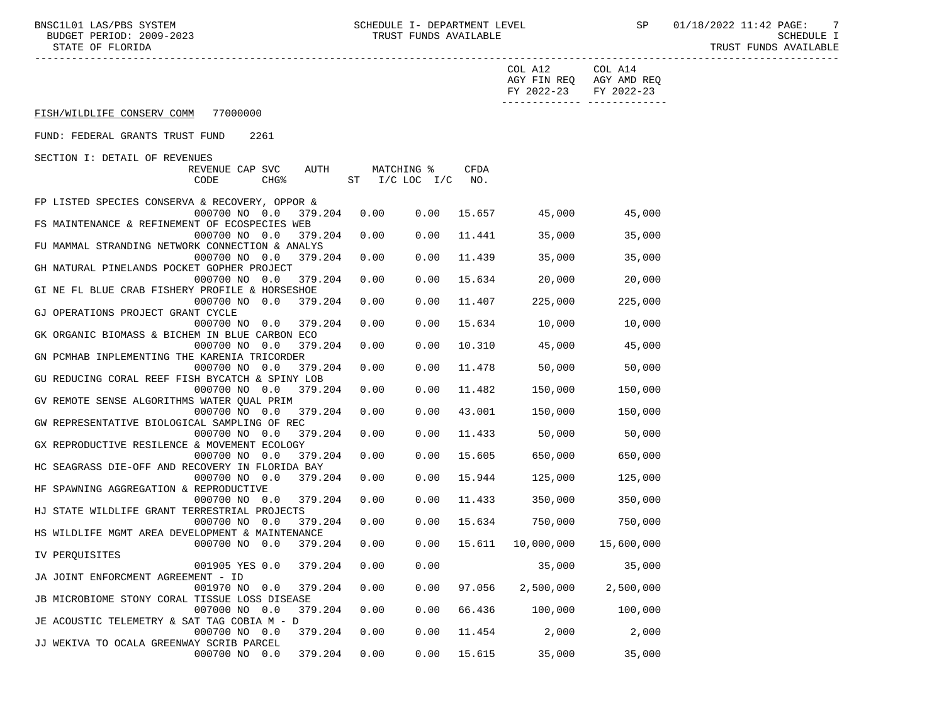|                                                 |      |                    |        | COL A12<br>FY 2022-23 | COL A14<br>AGY FIN REQ AGY AMD REQ<br>FY 2022-23 |  |
|-------------------------------------------------|------|--------------------|--------|-----------------------|--------------------------------------------------|--|
|                                                 |      |                    |        |                       |                                                  |  |
| FISH/WILDLIFE CONSERV COMM 77000000             |      |                    |        |                       |                                                  |  |
| FUND: FEDERAL GRANTS TRUST FUND<br>2261         |      |                    |        |                       |                                                  |  |
| SECTION I: DETAIL OF REVENUES                   |      |                    |        |                       |                                                  |  |
| REVENUE CAP SVC<br>AUTH                         |      | MATCHING %         | CFDA   |                       |                                                  |  |
| CODE<br>CHG <sup>8</sup>                        |      | ST I/C LOC I/C NO. |        |                       |                                                  |  |
| FP LISTED SPECIES CONSERVA & RECOVERY, OPPOR &  |      |                    |        |                       |                                                  |  |
| 000700 NO 0.0<br>379.204                        | 0.00 | 0.00               |        | 15.657 45,000         | 45,000                                           |  |
| FS MAINTENANCE & REFINEMENT OF ECOSPECIES WEB   |      |                    |        |                       |                                                  |  |
| 000700 NO 0.0<br>379.204                        | 0.00 | 0.00               | 11.441 | 35,000                | 35,000                                           |  |
| FU MAMMAL STRANDING NETWORK CONNECTION & ANALYS |      |                    |        |                       |                                                  |  |
| 000700 NO 0.0<br>379.204                        | 0.00 | 0.00               | 11.439 | 35,000                | 35,000                                           |  |
| GH NATURAL PINELANDS POCKET GOPHER PROJECT      |      |                    |        |                       |                                                  |  |
|                                                 |      | 0.00               | 15.634 | 20,000                | 20,000                                           |  |
| 000700 NO 0.0 379.204                           | 0.00 |                    |        |                       |                                                  |  |
| GI NE FL BLUE CRAB FISHERY PROFILE & HORSESHOE  |      |                    |        |                       |                                                  |  |
| 000700 NO 0.0<br>379.204                        | 0.00 | 0.00               | 11.407 | 225,000               | 225,000                                          |  |
| GJ OPERATIONS PROJECT GRANT CYCLE               |      |                    |        |                       |                                                  |  |
| 000700 NO 0.0<br>379.204                        | 0.00 | 0.00               | 15.634 | 10,000                | 10,000                                           |  |
| GK ORGANIC BIOMASS & BICHEM IN BLUE CARBON ECO  |      |                    |        |                       |                                                  |  |
| 000700 NO 0.0<br>379.204                        | 0.00 | 0.00               | 10.310 | 45,000                | 45,000                                           |  |
| GN PCMHAB INPLEMENTING THE KARENIA TRICORDER    |      |                    |        |                       |                                                  |  |
| 000700 NO 0.0<br>379.204                        | 0.00 | 0.00               | 11.478 | 50,000                | 50,000                                           |  |
| GU REDUCING CORAL REEF FISH BYCATCH & SPINY LOB |      |                    |        |                       |                                                  |  |
| 000700 NO 0.0<br>379.204                        | 0.00 | 0.00               | 11.482 | 150,000               | 150,000                                          |  |
| GV REMOTE SENSE ALGORITHMS WATER QUAL PRIM      |      |                    |        |                       |                                                  |  |
| 000700 NO 0.0<br>379.204                        | 0.00 | 0.00               | 43.001 | 150,000               | 150,000                                          |  |
| GW REPRESENTATIVE BIOLOGICAL SAMPLING OF REC    |      |                    |        |                       |                                                  |  |
| 000700 NO 0.0<br>379.204                        | 0.00 | 0.00               | 11.433 | 50,000                | 50,000                                           |  |
| GX REPRODUCTIVE RESILENCE & MOVEMENT ECOLOGY    |      |                    |        |                       |                                                  |  |
| 000700 NO 0.0<br>379.204                        | 0.00 | 0.00               | 15.605 | 650,000               | 650,000                                          |  |
| HC SEAGRASS DIE-OFF AND RECOVERY IN FLORIDA BAY |      |                    |        |                       |                                                  |  |
| 000700 NO 0.0<br>379.204                        | 0.00 | 0.00               | 15.944 | 125,000               | 125,000                                          |  |
| HF SPAWNING AGGREGATION & REPRODUCTIVE          |      |                    |        |                       |                                                  |  |
| 000700 NO 0.0<br>379.204                        | 0.00 | 0.00               | 11.433 | 350,000               | 350,000                                          |  |
| HJ STATE WILDLIFE GRANT TERRESTRIAL PROJECTS    |      |                    |        |                       |                                                  |  |
| 000700 NO 0.0<br>379.204                        | 0.00 | 0.00               | 15.634 | 750,000               | 750,000                                          |  |
| HS WILDLIFE MGMT AREA DEVELOPMENT & MAINTENANCE |      |                    |        |                       |                                                  |  |
| 000700 NO 0.0 379.204 0.00                      |      | 0.00               |        |                       | 15,600,000                                       |  |
| IV PERQUISITES                                  |      |                    |        |                       |                                                  |  |
| 001905 YES 0.0 379.204 0.00 0.00                |      |                    |        | 35,000                | 35,000                                           |  |
|                                                 |      |                    |        |                       |                                                  |  |
| JA JOINT ENFORCMENT AGREEMENT - ID              |      |                    |        |                       |                                                  |  |
| 001970 NO 0.0<br>379.204                        | 0.00 | 0.00               | 97.056 | 2,500,000             | 2,500,000                                        |  |
| JB MICROBIOME STONY CORAL TISSUE LOSS DISEASE   |      |                    |        |                       |                                                  |  |
| 007000 NO 0.0<br>379.204                        | 0.00 | 0.00               | 66.436 | 100,000               | 100,000                                          |  |
| JE ACOUSTIC TELEMETRY & SAT TAG COBIA M - D     |      |                    |        |                       |                                                  |  |
| 000700 NO 0.0<br>379.204                        | 0.00 | 0.00               | 11.454 | 2,000                 | 2,000                                            |  |
| JJ WEKIVA TO OCALA GREENWAY SCRIB PARCEL        |      |                    |        |                       |                                                  |  |
| 000700 NO 0.0<br>379.204                        | 0.00 | 0.00               | 15.615 | 35,000                | 35,000                                           |  |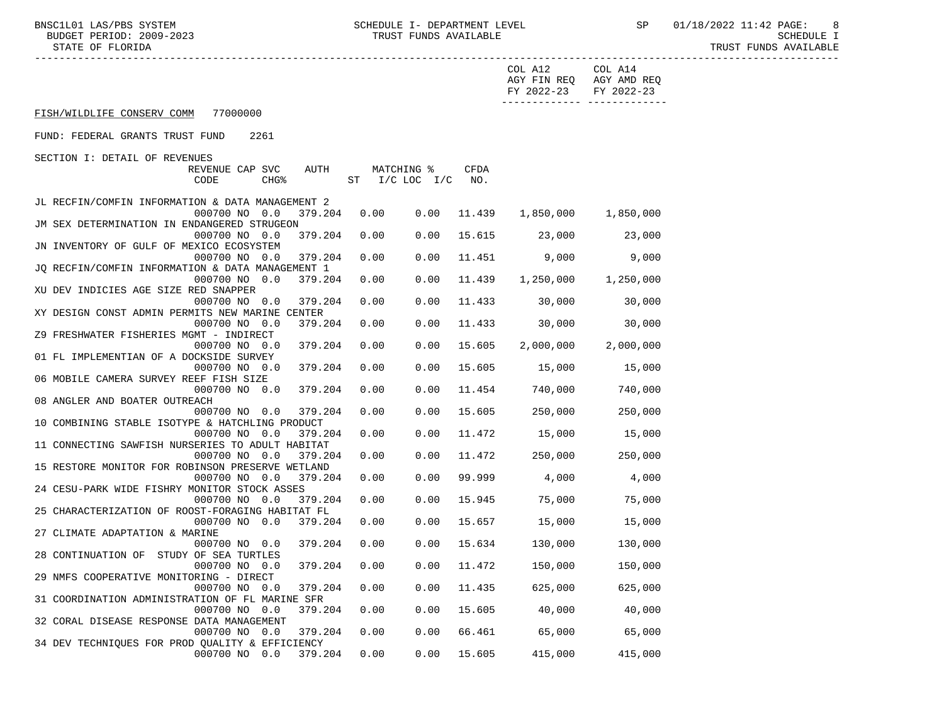|                                                                                   |        | COL A12                           | COL A14<br>AGY FIN REQ AGY AMD REQ |
|-----------------------------------------------------------------------------------|--------|-----------------------------------|------------------------------------|
|                                                                                   |        | FY 2022-23 FY 2022-23             |                                    |
| FISH/WILDLIFE CONSERV COMM 77000000                                               |        |                                   | -------------- --------------      |
| FUND: FEDERAL GRANTS TRUST FUND<br>2261                                           |        |                                   |                                    |
| SECTION I: DETAIL OF REVENUES                                                     |        |                                   |                                    |
| AUTH<br>MATCHING %<br>REVENUE CAP SVC                                             | CFDA   |                                   |                                    |
| ST I/C LOC I/C NO.<br>CODE<br>CHG <sup>8</sup>                                    |        |                                   |                                    |
| JL RECFIN/COMFIN INFORMATION & DATA MANAGEMENT 2                                  |        |                                   |                                    |
| 000700 NO 0.0<br>379.204<br>0.00                                                  |        | $0.00$ 11.439 1,850,000 1,850,000 |                                    |
| JM SEX DETERMINATION IN ENDANGERED STRUGEON                                       |        |                                   |                                    |
| 0.00<br>000700 NO 0.0<br>379.204<br>0.00                                          |        | 15.615 23,000 23,000              |                                    |
| JN INVENTORY OF GULF OF MEXICO ECOSYSTEM                                          |        |                                   |                                    |
| 0.00<br>0.00<br>000700 NO 0.0<br>379.204                                          |        | 11.451 9,000                      | 9,000                              |
| JQ RECFIN/COMFIN INFORMATION & DATA MANAGEMENT 1                                  |        |                                   |                                    |
| 0.00<br>000700 NO 0.0<br>379.204<br>0.00                                          | 11.439 |                                   | 1,250,000 1,250,000                |
| XU DEV INDICIES AGE SIZE RED SNAPPER                                              |        |                                   |                                    |
| 0.00<br>0.00<br>000700 NO 0.0<br>379.204                                          | 11.433 | 30,000                            | 30,000                             |
| XY DESIGN CONST ADMIN PERMITS NEW MARINE CENTER                                   |        |                                   |                                    |
| 0.00<br>000700 NO 0.0<br>379.204<br>0.00                                          | 11.433 | 30,000                            | 30,000                             |
| Z9 FRESHWATER FISHERIES MGMT - INDIRECT                                           |        |                                   |                                    |
| 0.00<br>000700 NO 0.0<br>379.204<br>0.00                                          | 15.605 | 2,000,000                         | 2,000,000                          |
| 01 FL IMPLEMENTIAN OF A DOCKSIDE SURVEY                                           |        |                                   |                                    |
| 0.00<br>0.00<br>000700 NO 0.0<br>379.204                                          | 15.605 | 15,000                            | 15,000                             |
| 06 MOBILE CAMERA SURVEY REEF FISH SIZE                                            |        |                                   |                                    |
| 379.204<br>0.00<br>0.00<br>000700 NO 0.0                                          | 11.454 | 740,000                           | 740,000                            |
| 08 ANGLER AND BOATER OUTREACH                                                     |        |                                   |                                    |
| 0.00<br>0.00<br>000700 NO 0.0<br>379.204                                          | 15.605 | 250,000                           | 250,000                            |
| 10 COMBINING STABLE ISOTYPE & HATCHLING PRODUCT                                   |        |                                   |                                    |
| 0.00<br>0.00<br>000700 NO 0.0<br>379.204                                          | 11.472 | 15,000                            | 15,000                             |
| 11 CONNECTING SAWFISH NURSERIES TO ADULT HABITAT                                  |        |                                   |                                    |
| 0.00<br>000700 NO 0.0<br>379.204<br>0.00                                          | 11.472 | 250,000                           | 250,000                            |
| 15 RESTORE MONITOR FOR ROBINSON PRESERVE WETLAND<br>0.00<br>000700 NO 0.0<br>0.00 | 99.999 | 4,000                             |                                    |
| 379.204<br>24 CESU-PARK WIDE FISHRY MONITOR STOCK ASSES                           |        |                                   | 4,000                              |
| 0.00<br>0.00<br>000700 NO 0.0<br>379.204                                          | 15.945 | 75,000                            | 75,000                             |
| 25 CHARACTERIZATION OF ROOST-FORAGING HABITAT FL                                  |        |                                   |                                    |
| 000700 NO 0.0<br>379.204<br>0.00                                                  |        | $0.00$ 15.657 15,000              | 15,000                             |
| 27 CLIMATE ADAPTATION & MARINE                                                    |        |                                   |                                    |
| 000700 NO 0.0 379.204 0.00                                                        |        | $0.00$ 15.634 130,000             | 130,000                            |
| 28 CONTINUATION OF STUDY OF SEA TURTLES                                           |        |                                   |                                    |
| 000700 NO 0.0 379.204 0.00 0.00 11.472 150,000                                    |        |                                   | 150,000                            |
| 29 NMFS COOPERATIVE MONITORING - DIRECT                                           |        |                                   |                                    |
| 000700 NO 0.0<br>379.204<br>0.00<br>0.00                                          | 11.435 | 625,000                           | 625,000                            |
| 31 COORDINATION ADMINISTRATION OF FL MARINE SFR                                   |        |                                   |                                    |
| 379.204<br>0.00<br>000700 NO 0.0<br>0.00                                          | 15.605 | 40,000                            | 40,000                             |
| 32 CORAL DISEASE RESPONSE DATA MANAGEMENT                                         |        |                                   |                                    |
| 000700 NO 0.0<br>379.204<br>0.00<br>0.00                                          | 66.461 | 65,000                            | 65,000                             |
| 34 DEV TECHNIQUES FOR PROD QUALITY & EFFICIENCY                                   |        |                                   |                                    |
| 000700 NO 0.0<br>379.204<br>0.00<br>0.00                                          | 15.605 | 415,000                           | 415,000                            |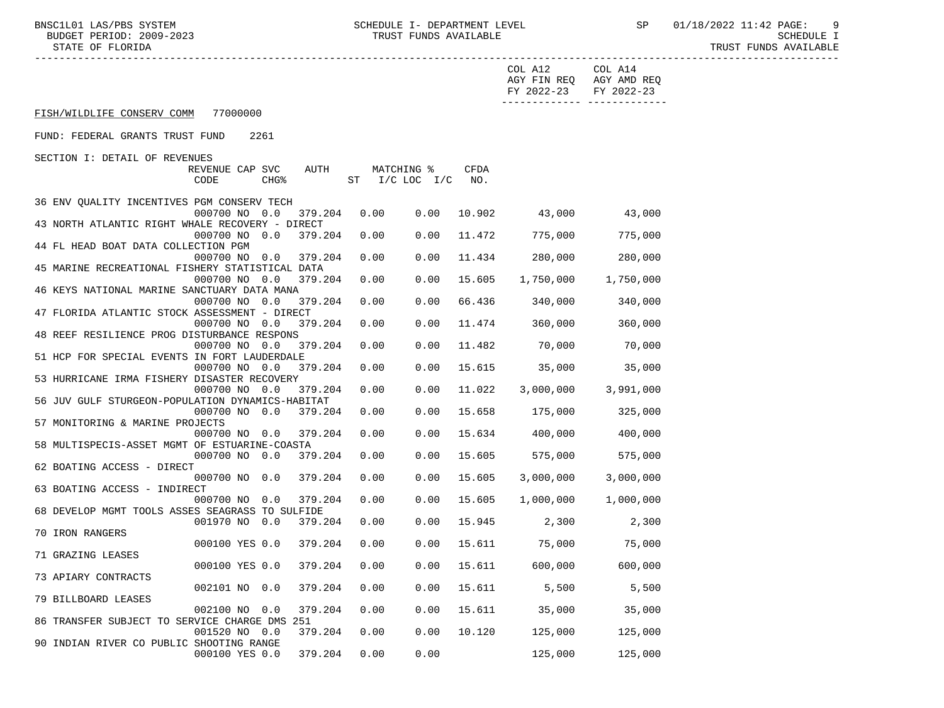STATE OF FLORIDA TRUST FUNDS AVAILABLE

|                                                                  |                       |         |                |            |             | COL A12<br>FY 2022-23                                        | COL A14<br>AGY FIN REQ AGY AMD REQ<br>FY 2022-23<br>_______________________________ |
|------------------------------------------------------------------|-----------------------|---------|----------------|------------|-------------|--------------------------------------------------------------|-------------------------------------------------------------------------------------|
| FISH/WILDLIFE CONSERV COMM 77000000                              |                       |         |                |            |             |                                                              |                                                                                     |
| FUND: FEDERAL GRANTS TRUST FUND                                  | 2261                  |         |                |            |             |                                                              |                                                                                     |
| SECTION I: DETAIL OF REVENUES                                    |                       |         |                |            |             |                                                              |                                                                                     |
| REVENUE CAP SVC<br>CODE                                          | CHG <sup>8</sup>      | AUTH    | ST I/C LOC I/C | MATCHING % | CFDA<br>NO. |                                                              |                                                                                     |
| 36 ENV QUALITY INCENTIVES PGM CONSERV TECH                       |                       |         |                |            |             |                                                              |                                                                                     |
| 000700 NO 0.0<br>43 NORTH ATLANTIC RIGHT WHALE RECOVERY - DIRECT |                       | 379.204 | 0.00           | 0.00       |             | 10.902 43,000                                                | 43,000                                                                              |
| 000700 NO 0.0                                                    |                       | 379.204 | 0.00           | 0.00       |             | 11.472 775,000                                               | 775,000                                                                             |
| 44 FL HEAD BOAT DATA COLLECTION PGM                              |                       |         |                |            |             |                                                              |                                                                                     |
| 000700 NO 0.0<br>45 MARINE RECREATIONAL FISHERY STATISTICAL DATA |                       | 379.204 | 0.00           | 0.00       | 11.434      | 280,000                                                      | 280,000                                                                             |
| 000700 NO 0.0                                                    |                       | 379.204 | 0.00           | 0.00       | 15.605      | 1,750,000                                                    | 1,750,000                                                                           |
| 46 KEYS NATIONAL MARINE SANCTUARY DATA MANA                      |                       |         |                |            |             |                                                              |                                                                                     |
|                                                                  | 000700 NO 0.0 379.204 |         | 0.00           | 0.00       | 66.436      | 340,000                                                      | 340,000                                                                             |
| 47 FLORIDA ATLANTIC STOCK ASSESSMENT - DIRECT<br>000700 NO 0.0   |                       | 379.204 | 0.00           | 0.00       |             | 11.474 360,000                                               | 360,000                                                                             |
| 48 REEF RESILIENCE PROG DISTURBANCE RESPONS                      |                       |         |                |            |             |                                                              |                                                                                     |
|                                                                  | 000700 NO 0.0 379.204 |         | 0.00           | 0.00       | 11.482      | 70,000                                                       | 70,000                                                                              |
| 51 HCP FOR SPECIAL EVENTS IN FORT LAUDERDALE<br>000700 NO 0.0    |                       | 379.204 | 0.00           | 0.00       | 15.615      | 35,000                                                       | 35,000                                                                              |
| 53 HURRICANE IRMA FISHERY DISASTER RECOVERY                      |                       |         |                |            |             |                                                              |                                                                                     |
| 000700 NO 0.0                                                    |                       | 379.204 | 0.00           | 0.00       | 11.022      | 3,000,000                                                    | 3,991,000                                                                           |
| 56 JUV GULF STURGEON-POPULATION DYNAMICS-HABITAT                 |                       |         |                |            |             |                                                              |                                                                                     |
| 000700 NO 0.0                                                    |                       | 379.204 | 0.00           | 0.00       | 15.658      | 175,000                                                      | 325,000                                                                             |
| 57 MONITORING & MARINE PROJECTS<br>000700 NO 0.0                 |                       | 379.204 | 0.00           | 0.00       |             | 15.634 400,000                                               | 400,000                                                                             |
| 58 MULTISPECIS-ASSET MGMT OF ESTUARINE-COASTA                    |                       |         |                |            |             |                                                              |                                                                                     |
|                                                                  | 000700 NO 0.0 379.204 |         | 0.00           | 0.00       | 15.605      | 575,000                                                      | 575,000                                                                             |
| 62 BOATING ACCESS - DIRECT                                       |                       |         |                |            |             |                                                              |                                                                                     |
| 000700 NO 0.0<br>63 BOATING ACCESS - INDIRECT                    |                       | 379.204 | 0.00           | 0.00       | 15.605      | 3,000,000                                                    | 3,000,000                                                                           |
| 000700 NO 0.0                                                    |                       | 379.204 | 0.00           | 0.00       | 15.605      | 1,000,000                                                    | 1,000,000                                                                           |
| 68 DEVELOP MGMT TOOLS ASSES SEAGRASS TO SULFIDE                  |                       |         |                |            |             |                                                              |                                                                                     |
| 001970 NO 0.0                                                    |                       | 379.204 | 0.00           | 0.00       |             | 15.945 2,300                                                 | 2,300                                                                               |
| 70 IRON RANGERS<br>000100 YES 0.0 379.204                        |                       |         | 0.00           | 0.00       |             | 15.611 75,000                                                | 75,000                                                                              |
| 71 GRAZING LEASES                                                |                       |         |                |            |             |                                                              |                                                                                     |
|                                                                  |                       |         |                |            |             | 000100 YES 0.0 379.204  0.00  0.00  15.611  600,000  600,000 |                                                                                     |
| 73 APIARY CONTRACTS                                              |                       |         |                |            |             |                                                              |                                                                                     |
| 002101 NO 0.0<br>79 BILLBOARD LEASES                             |                       | 379.204 | 0.00           | 0.00       | 15.611      | 5,500                                                        | 5,500                                                                               |
| 002100 NO 0.0                                                    |                       | 379.204 | 0.00           | 0.00       | 15.611      | 35,000                                                       | 35,000                                                                              |
| 86 TRANSFER SUBJECT TO SERVICE CHARGE DMS 251                    |                       |         |                |            |             |                                                              |                                                                                     |
| 001520 NO 0.0                                                    |                       | 379.204 | 0.00           | 0.00       | 10.120      | 125,000                                                      | 125,000                                                                             |
| 90 INDIAN RIVER CO PUBLIC SHOOTING RANGE<br>000100 YES 0.0       |                       | 379.204 | 0.00           | 0.00       |             | 125,000                                                      | 125,000                                                                             |
|                                                                  |                       |         |                |            |             |                                                              |                                                                                     |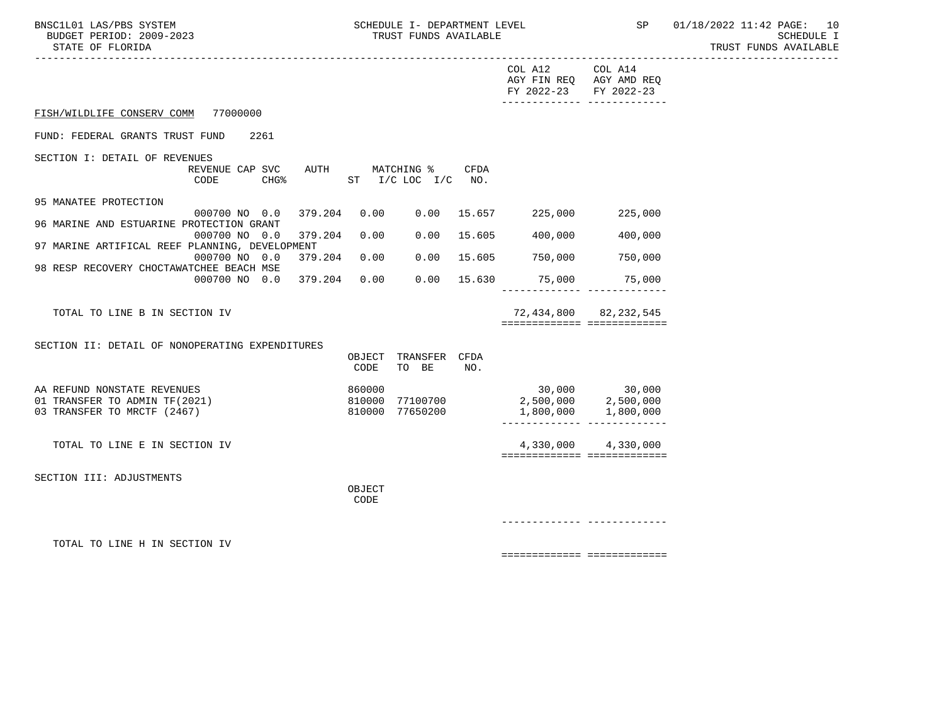| DIAIL OF FLORIDA                                                                           |               |                       |                                                                                                                         | TUNDI LOMDO HANTINDIL |
|--------------------------------------------------------------------------------------------|---------------|-----------------------|-------------------------------------------------------------------------------------------------------------------------|-----------------------|
|                                                                                            |               | COL A12<br>FY 2022-23 | -----------------------------------<br>COL A14<br>AGY FIN REQ AGY AMD REQ<br>FY 2022-23<br>-------------- ------------- |                       |
| 77000000<br>FISH/WILDLIFE CONSERV COMM                                                     |               |                       |                                                                                                                         |                       |
| FUND: FEDERAL GRANTS TRUST FUND<br>2261                                                    |               |                       |                                                                                                                         |                       |
| SECTION I: DETAIL OF REVENUES                                                              |               |                       |                                                                                                                         |                       |
| REVENUE CAP SVC<br>MATCHING %<br>AUTH<br>CODE<br>CHG <sup>8</sup><br>ST I/C LOC I/C NO.    | CFDA          |                       |                                                                                                                         |                       |
| 95 MANATEE PROTECTION                                                                      |               |                       |                                                                                                                         |                       |
| 379.204<br>0.00<br>000700 NO 0.0<br>0.00<br>96 MARINE AND ESTUARINE PROTECTION GRANT       | 15.657        | 225,000               | 225,000                                                                                                                 |                       |
| 0.00<br>000700 NO 0.0<br>379.204<br>0.00                                                   | 15.605        | 400,000               | 400,000                                                                                                                 |                       |
| 97 MARINE ARTIFICAL REEF PLANNING, DEVELOPMENT<br>000700 NO 0.0<br>379.204<br>0.00<br>0.00 | 15.605        | 750,000               | 750,000                                                                                                                 |                       |
| 98 RESP RECOVERY CHOCTAWATCHEE BEACH MSE<br>379.204<br>0.00<br>000700 NO 0.0<br>0.00       | 15.630        | 75,000                | 75,000                                                                                                                  |                       |
|                                                                                            |               |                       | ________________________________                                                                                        |                       |
| TOTAL TO LINE B IN SECTION IV                                                              |               |                       | 72,434,800 82,232,545                                                                                                   |                       |
|                                                                                            |               |                       | ============================                                                                                            |                       |
| SECTION II: DETAIL OF NONOPERATING EXPENDITURES<br>OBJECT                                  | TRANSFER CFDA |                       |                                                                                                                         |                       |
| CODE<br>TO BE                                                                              | NO.           |                       |                                                                                                                         |                       |
| AA REFUND NONSTATE REVENUES<br>860000                                                      |               |                       |                                                                                                                         |                       |
| 01 TRANSFER TO ADMIN TF(2021)<br>810000<br>77100700<br>810000 77650200                     |               |                       |                                                                                                                         |                       |
| 03 TRANSFER TO MRCTF (2467)                                                                |               | 1,800,000             | 1,800,000<br>________________________________                                                                           |                       |
| TOTAL TO LINE E IN SECTION IV                                                              |               |                       | 4,330,000 4,330,000                                                                                                     |                       |
|                                                                                            |               |                       | ===========================                                                                                             |                       |
| SECTION III: ADJUSTMENTS                                                                   |               |                       |                                                                                                                         |                       |
| OBJECT<br>CODE                                                                             |               |                       |                                                                                                                         |                       |
|                                                                                            |               |                       |                                                                                                                         |                       |
|                                                                                            |               |                       |                                                                                                                         |                       |
| TOTAL TO LINE H IN SECTION IV                                                              |               |                       |                                                                                                                         |                       |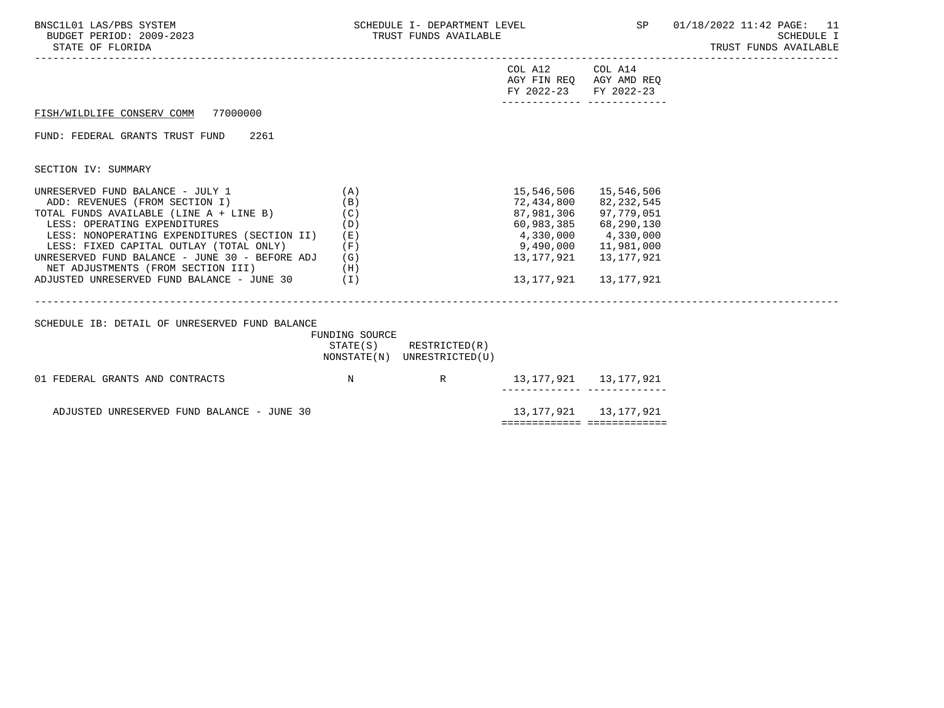| BNSC1L01 LAS/PBS SYSTEM<br>BUDGET PERIOD: 2009-2023<br>STATE OF FLORIDA                                                                                                                                                                                                                                                                                                            | SCHEDULE I- DEPARTMENT LEVEL<br>TRUST FUNDS AVAILABLE  |                                                            |                                                                            |                                                                                                                                     | SP 01/18/2022 11:42 PAGE: 11<br><b>SCHEDULE I</b><br>TRUST FUNDS AVAILABLE |
|------------------------------------------------------------------------------------------------------------------------------------------------------------------------------------------------------------------------------------------------------------------------------------------------------------------------------------------------------------------------------------|--------------------------------------------------------|------------------------------------------------------------|----------------------------------------------------------------------------|-------------------------------------------------------------------------------------------------------------------------------------|----------------------------------------------------------------------------|
|                                                                                                                                                                                                                                                                                                                                                                                    |                                                        |                                                            | COL A12 COL A14<br>AGY FIN REQ AGY AMD REQ<br>FY 2022-23 FY 2022-23        |                                                                                                                                     |                                                                            |
| FISH/WILDLIFE CONSERV COMM 77000000                                                                                                                                                                                                                                                                                                                                                |                                                        |                                                            |                                                                            |                                                                                                                                     |                                                                            |
| FUND: FEDERAL GRANTS TRUST FUND<br>2261                                                                                                                                                                                                                                                                                                                                            |                                                        |                                                            |                                                                            |                                                                                                                                     |                                                                            |
| SECTION IV: SUMMARY                                                                                                                                                                                                                                                                                                                                                                |                                                        |                                                            |                                                                            |                                                                                                                                     |                                                                            |
| UNRESERVED FUND BALANCE - JULY 1<br>ADD: REVENUES (FROM SECTION I)<br>TOTAL FUNDS AVAILABLE (LINE A + LINE B)<br>LESS: OPERATING EXPENDITURES<br>LESS: NONOPERATING EXPENDITURES (SECTION II)<br>LESS: FIXED CAPITAL OUTLAY (TOTAL ONLY)<br>UNRESERVED FUND BALANCE - JUNE 30 - BEFORE ADJ<br>NET ADJUSTMENTS (FROM SECTION III)<br>ADJUSTED UNRESERVED FUND BALANCE - JUNE 30 (I) | (A)<br>(B)<br>(C)<br>(D)<br>( E )<br>(F)<br>(G)<br>(H) |                                                            | 72,434,800<br>87,981,306<br>4,330,000 4,330,000<br>9,490,000<br>13,177,921 | 15,546,506 15,546,506<br>82,232,545<br>97,779,051<br>60,983,385 68,290,130<br>11,981,000<br>13,177,921<br>13, 177, 921 13, 177, 921 |                                                                            |
| SCHEDULE IB: DETAIL OF UNRESERVED FUND BALANCE                                                                                                                                                                                                                                                                                                                                     | FUNDING SOURCE                                         | $STATE(S)$ RESTRICTED $(R)$<br>NONSTATE(N) UNRESTRICTED(U) |                                                                            |                                                                                                                                     |                                                                            |
| 01 FEDERAL GRANTS AND CONTRACTS                                                                                                                                                                                                                                                                                                                                                    | $\mathbb N$                                            | R                                                          | 13, 177, 921 13, 177, 921<br>--------- ----                                |                                                                                                                                     |                                                                            |
| ADJUSTED UNRESERVED FUND BALANCE - JUNE 30                                                                                                                                                                                                                                                                                                                                         |                                                        |                                                            | 13, 177, 921 13, 177, 921<br>===========================                   |                                                                                                                                     |                                                                            |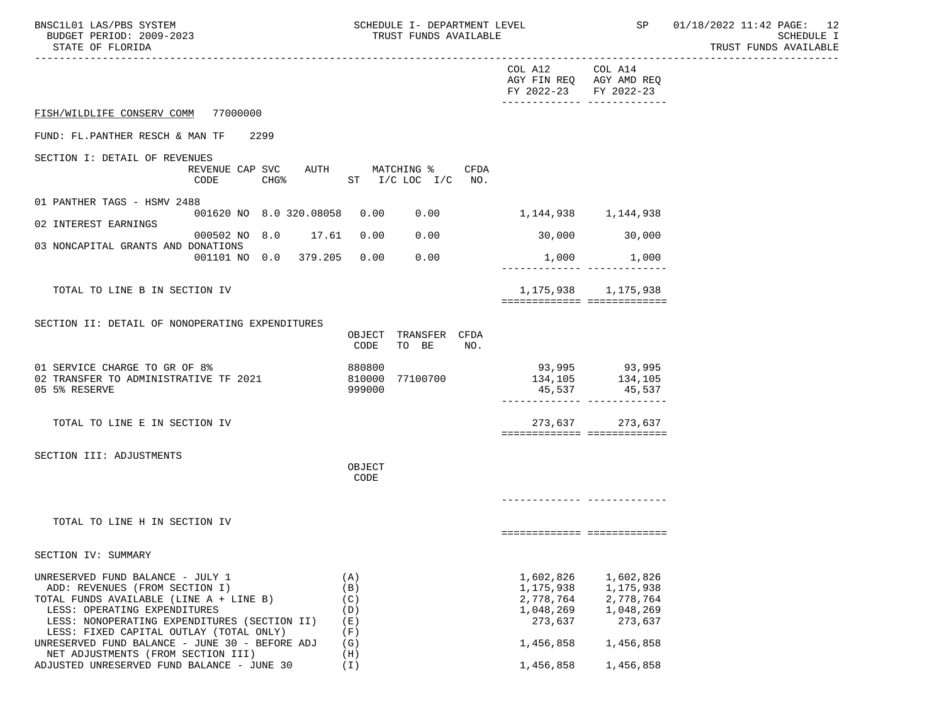BNSC1L01 LAS/PBS SYSTEM SCHEDULE I- DEPARTMENT LEVEL SP 01/18/2022 11:42 PAGE: 12<br>BUDGET PERIOD: 2009-2023 TRUST FUNDS AVAILABLE

|                                                                                                                                                                                                                                                                                    | COL A12<br>COL A14<br>AGY FIN REQ AGY AMD REQ<br>FY 2022-23<br>FY 2022-23<br>-------------- --------------                 |
|------------------------------------------------------------------------------------------------------------------------------------------------------------------------------------------------------------------------------------------------------------------------------------|----------------------------------------------------------------------------------------------------------------------------|
| FISH/WILDLIFE CONSERV COMM 77000000                                                                                                                                                                                                                                                |                                                                                                                            |
| FUND: FL.PANTHER RESCH & MAN TF<br>2299                                                                                                                                                                                                                                            |                                                                                                                            |
| SECTION I: DETAIL OF REVENUES<br>REVENUE CAP SVC AUTH MATCHING %<br>CODE<br>$CHG\$<br>ST I/C LOC I/C NO.                                                                                                                                                                           | CFDA                                                                                                                       |
| 01 PANTHER TAGS - HSMV 2488<br>001620 NO 8.0 320.08058<br>0.00<br>0.00                                                                                                                                                                                                             | 1,144,938 1,144,938                                                                                                        |
| 02 INTEREST EARNINGS<br>000502 NO 8.0 17.61<br>0.00<br>0.00                                                                                                                                                                                                                        | 30,000<br>30,000                                                                                                           |
| 03 NONCAPITAL GRANTS AND DONATIONS<br>001101 NO 0.0 379.205 0.00<br>0.00                                                                                                                                                                                                           | 1,000 1,000                                                                                                                |
| TOTAL TO LINE B IN SECTION IV                                                                                                                                                                                                                                                      | 1, 175, 938 1, 175, 938<br>============================                                                                    |
| SECTION II: DETAIL OF NONOPERATING EXPENDITURES<br>OBJECT TRANSFER CFDA<br>CODE<br>TO BE                                                                                                                                                                                           | NO.                                                                                                                        |
| 01 SERVICE CHARGE TO GR OF 8%<br>880800<br>02 TRANSFER TO ADMINISTRATIVE TF 2021<br>810000<br>77100700<br>05 5% RESERVE<br>999000                                                                                                                                                  | 93,995 93,995<br>134, 105 134, 105<br>45,537 45,537                                                                        |
| TOTAL TO LINE E IN SECTION IV                                                                                                                                                                                                                                                      | 273,637 273,637<br>===========================                                                                             |
| SECTION III: ADJUSTMENTS<br>OBJECT<br>CODE                                                                                                                                                                                                                                         |                                                                                                                            |
|                                                                                                                                                                                                                                                                                    |                                                                                                                            |
| TOTAL TO LINE H IN SECTION IV                                                                                                                                                                                                                                                      | ============================                                                                                               |
| SECTION IV: SUMMARY                                                                                                                                                                                                                                                                |                                                                                                                            |
| UNRESERVED FUND BALANCE - JULY 1<br>(A)<br>(B)<br>ADD: REVENUES (FROM SECTION I)<br>(C)<br>TOTAL FUNDS AVAILABLE (LINE A + LINE B)<br>LESS: OPERATING EXPENDITURES<br>(D)<br>LESS: NONOPERATING EXPENDITURES (SECTION II)<br>(E)<br>LESS: FIXED CAPITAL OUTLAY (TOTAL ONLY)<br>(F) | 1,602,826<br>1,602,826<br>1,175,938<br>1,175,938<br>2,778,764<br>2,778,764<br>1,048,269<br>1,048,269<br>273,637<br>273,637 |
| UNRESERVED FUND BALANCE - JUNE 30 - BEFORE ADJ<br>(G)<br>NET ADJUSTMENTS (FROM SECTION III)<br>(H)                                                                                                                                                                                 | 1,456,858<br>1,456,858                                                                                                     |
| ADJUSTED UNRESERVED FUND BALANCE - JUNE 30<br>(T)                                                                                                                                                                                                                                  | 1,456,858<br>1,456,858                                                                                                     |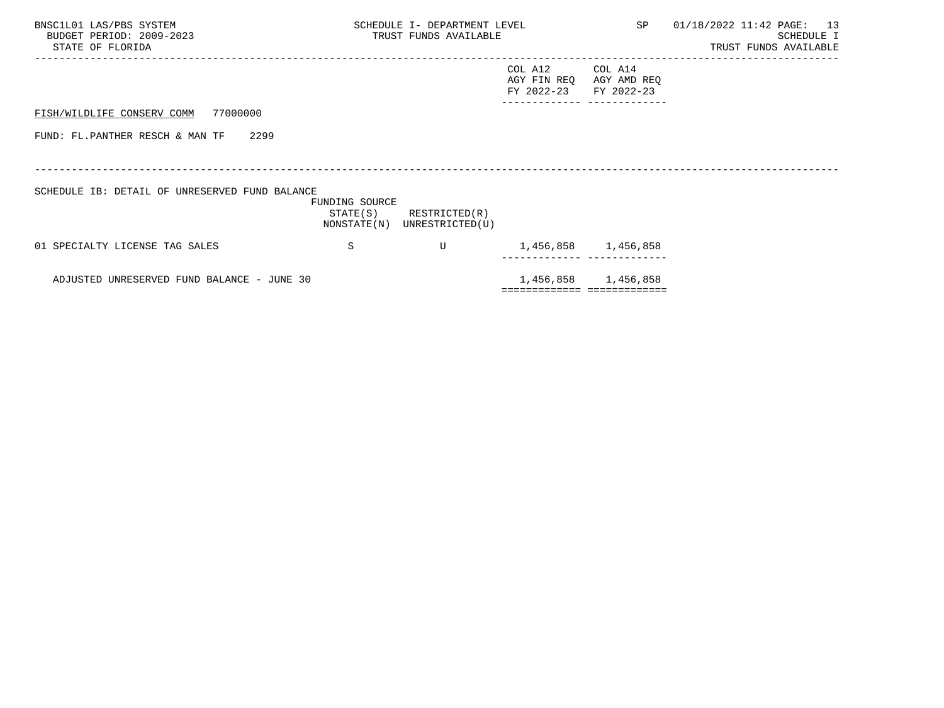| BNSC1L01 LAS/PBS SYSTEM<br>BUDGET PERIOD: 2009-2023<br>STATE OF FLORIDA |                | SCHEDULE I- DEPARTMENT LEVEL<br>TRUST FUNDS AVAILABLE      |                                      |                                      | SP 01/18/2022 11:42 PAGE: 13<br>SCHEDULE I<br>TRUST FUNDS AVAILABLE |
|-------------------------------------------------------------------------|----------------|------------------------------------------------------------|--------------------------------------|--------------------------------------|---------------------------------------------------------------------|
|                                                                         |                |                                                            | COL A12<br>AGY FIN REQ<br>FY 2022-23 | COL A14<br>AGY AMD REQ<br>FY 2022-23 |                                                                     |
| FISH/WILDLIFE CONSERV COMM 77000000                                     |                |                                                            |                                      |                                      |                                                                     |
| FUND: FL.PANTHER RESCH & MAN TF<br>2299                                 |                |                                                            |                                      |                                      |                                                                     |
|                                                                         |                |                                                            |                                      |                                      |                                                                     |
| SCHEDULE IB: DETAIL OF UNRESERVED FUND BALANCE                          | FUNDING SOURCE | $STATE(S)$ RESTRICTED $(R)$<br>NONSTATE(N) UNRESTRICTED(U) |                                      |                                      |                                                                     |
| 01 SPECIALTY LICENSE TAG SALES                                          | S              | U                                                          |                                      | 1,456,858 1,456,858                  |                                                                     |
| ADJUSTED UNRESERVED FUND BALANCE - JUNE 30                              |                |                                                            |                                      | 1,456,858 1,456,858                  |                                                                     |
|                                                                         |                |                                                            |                                      | ============================         |                                                                     |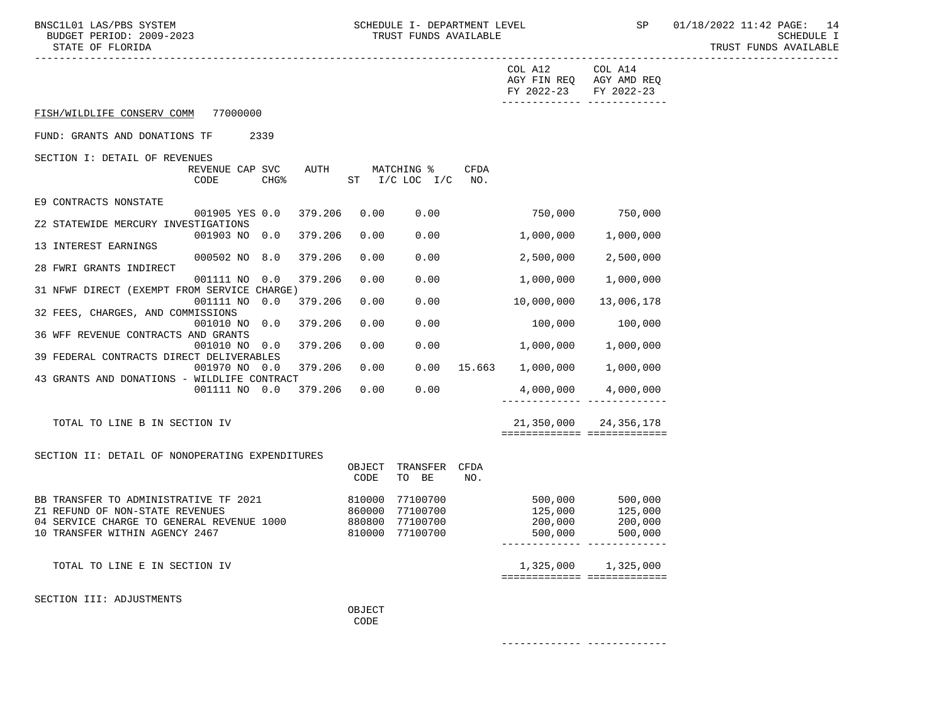------------- -------------

|                                                                          |                         |                  |         |                |                                  |             | COL A12<br>AGY FIN REQ AGY AMD REQ<br>FY 2022-23 | COL A14<br>FY 2022-23<br>-------- ------------- |
|--------------------------------------------------------------------------|-------------------------|------------------|---------|----------------|----------------------------------|-------------|--------------------------------------------------|-------------------------------------------------|
| FISH/WILDLIFE CONSERV COMM                                               | 77000000                |                  |         |                |                                  |             |                                                  |                                                 |
| FUND: GRANTS AND DONATIONS TF                                            |                         | 2339             |         |                |                                  |             |                                                  |                                                 |
| SECTION I: DETAIL OF REVENUES                                            |                         |                  |         |                |                                  |             |                                                  |                                                 |
|                                                                          | REVENUE CAP SVC<br>CODE | CHG <sub>8</sub> | AUTH    |                | MATCHING %<br>ST I/C LOC I/C NO. | <b>CFDA</b> |                                                  |                                                 |
| E9 CONTRACTS NONSTATE                                                    |                         |                  |         |                |                                  |             |                                                  |                                                 |
| Z2 STATEWIDE MERCURY INVESTIGATIONS                                      | 001905 YES 0.0          |                  | 379.206 | 0.00           | 0.00                             |             |                                                  | 750,000 750,000                                 |
|                                                                          | 001903 NO 0.0           |                  | 379.206 | 0.00           | 0.00                             |             | 1,000,000                                        | 1,000,000                                       |
| 13 INTEREST EARNINGS                                                     | 000502 NO 8.0           |                  | 379.206 | 0.00           | 0.00                             |             | 2,500,000                                        | 2,500,000                                       |
| 28 FWRI GRANTS INDIRECT                                                  | 001111 NO 0.0           |                  | 379.206 | 0.00           | 0.00                             |             | 1,000,000                                        | 1,000,000                                       |
| 31 NFWF DIRECT (EXEMPT FROM SERVICE CHARGE)                              |                         |                  |         |                |                                  |             |                                                  |                                                 |
| 32 FEES, CHARGES, AND COMMISSIONS                                        | 001111 NO 0.0           |                  | 379.206 | 0.00           | 0.00                             |             | 10,000,000                                       | 13,006,178                                      |
|                                                                          | 001010 NO 0.0           |                  | 379.206 | 0.00           | 0.00                             |             | 100,000                                          | 100,000                                         |
| 36 WFF REVENUE CONTRACTS AND GRANTS                                      | 001010 NO 0.0           |                  | 379.206 | 0.00           | 0.00                             |             | 1,000,000                                        | 1,000,000                                       |
| 39 FEDERAL CONTRACTS DIRECT DELIVERABLES                                 | 001970 NO 0.0           |                  | 379.206 | 0.00           |                                  |             | $0.00$ 15.663 1,000,000                          | 1,000,000                                       |
| 43 GRANTS AND DONATIONS - WILDLIFE CONTRACT                              |                         |                  |         |                |                                  |             |                                                  |                                                 |
|                                                                          | 001111 NO 0.0           |                  | 379.206 | 0.00           | 0.00                             |             | 4,000,000                                        | 4,000,000                                       |
| TOTAL TO LINE B IN SECTION IV                                            |                         |                  |         |                |                                  |             | 21,350,000                                       | 24,356,178                                      |
|                                                                          |                         |                  |         |                |                                  |             | ============================                     |                                                 |
| SECTION II: DETAIL OF NONOPERATING EXPENDITURES                          |                         |                  |         |                |                                  |             |                                                  |                                                 |
|                                                                          |                         |                  |         | OBJECT<br>CODE | TRANSFER CFDA<br>TO BE           | NO.         |                                                  |                                                 |
|                                                                          |                         |                  |         |                |                                  |             |                                                  |                                                 |
| BB TRANSFER TO ADMINISTRATIVE TF 2021<br>Z1 REFUND OF NON-STATE REVENUES |                         |                  | 810000  | 860000         | 77100700<br>77100700             |             | 500,000<br>125,000                               | 500,000<br>125 NAO<br>125,000                   |
| 04 SERVICE CHARGE TO GENERAL REVENUE 1000                                |                         |                  |         |                | 880800 77100700                  |             | 200,000                                          | 200,000                                         |
| 10 TRANSFER WITHIN AGENCY 2467                                           |                         |                  |         |                | 810000 77100700                  |             | 500,000                                          | 500,000<br>_____________ ____________           |
| TOTAL TO LINE E IN SECTION IV                                            |                         |                  |         |                |                                  |             | 1,325,000                                        | 1,325,000                                       |
|                                                                          |                         |                  |         |                |                                  |             | ============================                     |                                                 |
| SECTION III: ADJUSTMENTS                                                 |                         |                  |         |                |                                  |             |                                                  |                                                 |
|                                                                          |                         |                  |         | OBJECT<br>CODE |                                  |             |                                                  |                                                 |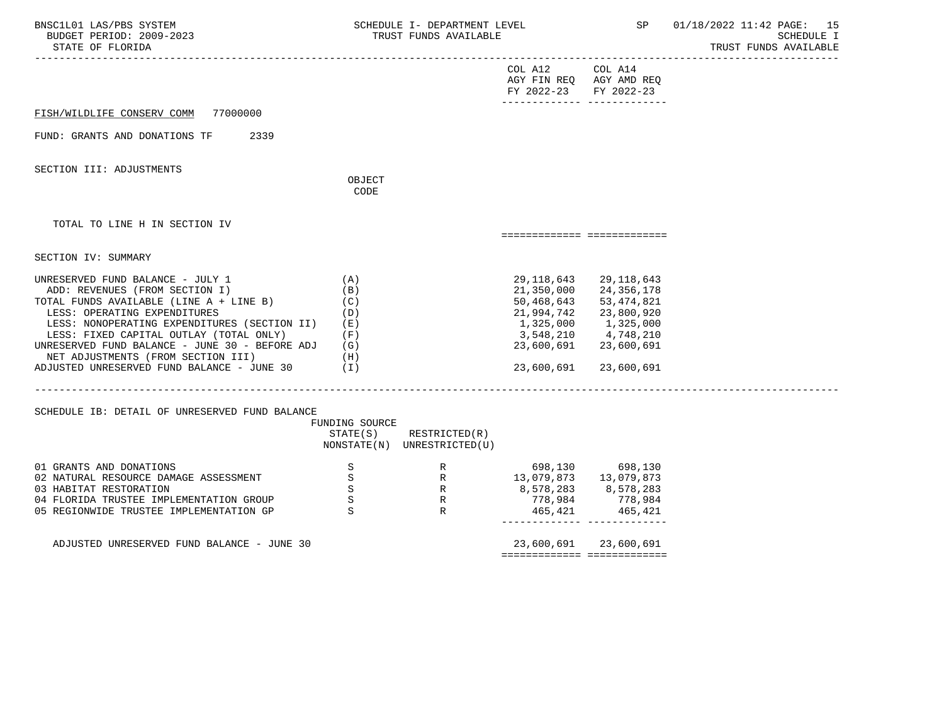| BNSC1L01 LAS/PBS SYSTEM<br>BUDGET PERIOD: 2009-2023<br>STATE OF FLORIDA                                                                                                                                                                                                                                                                                                                        | SCHEDULE I- DEPARTMENT LEVEL<br>TRUST FUNDS AVAILABLE        |                                                                            | SP                                                                                                         | 01/18/2022 11:42 PAGE: 15<br><b>SCHEDULE I</b><br>TRUST FUNDS AVAILABLE                                    |  |
|------------------------------------------------------------------------------------------------------------------------------------------------------------------------------------------------------------------------------------------------------------------------------------------------------------------------------------------------------------------------------------------------|--------------------------------------------------------------|----------------------------------------------------------------------------|------------------------------------------------------------------------------------------------------------|------------------------------------------------------------------------------------------------------------|--|
|                                                                                                                                                                                                                                                                                                                                                                                                |                                                              |                                                                            | COL A12 COL A14<br>FY 2022-23 FY 2022-23                                                                   | AGY FIN REQ AGY AMD REQ                                                                                    |  |
| FISH/WILDLIFE CONSERV COMM 77000000                                                                                                                                                                                                                                                                                                                                                            |                                                              |                                                                            |                                                                                                            |                                                                                                            |  |
| FUND: GRANTS AND DONATIONS TF<br>2339                                                                                                                                                                                                                                                                                                                                                          |                                                              |                                                                            |                                                                                                            |                                                                                                            |  |
| SECTION III: ADJUSTMENTS                                                                                                                                                                                                                                                                                                                                                                       | OBJECT<br>CODE                                               |                                                                            |                                                                                                            |                                                                                                            |  |
|                                                                                                                                                                                                                                                                                                                                                                                                |                                                              |                                                                            |                                                                                                            |                                                                                                            |  |
| TOTAL TO LINE H IN SECTION IV                                                                                                                                                                                                                                                                                                                                                                  |                                                              |                                                                            |                                                                                                            | ===========================                                                                                |  |
| SECTION IV: SUMMARY                                                                                                                                                                                                                                                                                                                                                                            |                                                              |                                                                            |                                                                                                            |                                                                                                            |  |
| UNRESERVED FUND BALANCE - JULY 1<br>ADD: REVENUES (FROM SECTION I)<br>TOTAL FUNDS AVAILABLE (LINE A + LINE B)<br>LESS: OPERATING EXPENDITURES<br>LESS: NONOPERATING EXPENDITURES (SECTION II) (E)<br>LESS: FIXED CAPITAL OUTLAY (TOTAL ONLY) (F)<br>UNRESERVED FUND BALANCE - JUNE 30 - BEFORE ADJ (G)<br>NET ADJUSTMENTS (FROM SECTION III)<br>ADJUSTED UNRESERVED FUND BALANCE - JUNE 30 (I) | (A)<br>(B)<br>(C)<br>(D)<br>(H)                              |                                                                            | 29,118,643<br>21,350,000<br>50,468,643<br>21,994,742<br>1,325,000<br>3,548,210<br>23,600,691<br>23,600,691 | 29,118,643<br>24,356,178<br>53,474,821<br>23,800,920<br>1,325,000<br>4,748,210<br>23,600,691<br>23,600,691 |  |
| SCHEDULE IB: DETAIL OF UNRESERVED FUND BALANCE                                                                                                                                                                                                                                                                                                                                                 | FUNDING SOURCE                                               | $STATE(S)$ RESTRICTED $(R)$<br>NONSTATE(N) UNRESTRICTED(U)                 |                                                                                                            |                                                                                                            |  |
| 01 GRANTS AND DONATIONS<br>02 NATURAL RESOURCE DAMAGE ASSESSMENT<br>03 HABITAT RESTORATION<br>04 FLORIDA TRUSTEE IMPLEMENTATION GROUP<br>05 REGIONWIDE TRUSTEE IMPLEMENTATION GP                                                                                                                                                                                                               | S<br>$\mathbf S$<br>$\, \mathbb{S} \,$<br>$\rm S$<br>$\rm S$ | R 598,130<br>R 13,079,873<br>R 8,578,283<br>P 778 984<br>R<br>$\mathbb{R}$ | 778,984<br>465,421                                                                                         | 698,130 698,130<br>13,079,873<br>8,578,283<br>778,984<br>465,421                                           |  |

ADJUSTED UNRESERVED FUND BALANCE - JUNE 30 23,600,691 23,600,691 23,600,691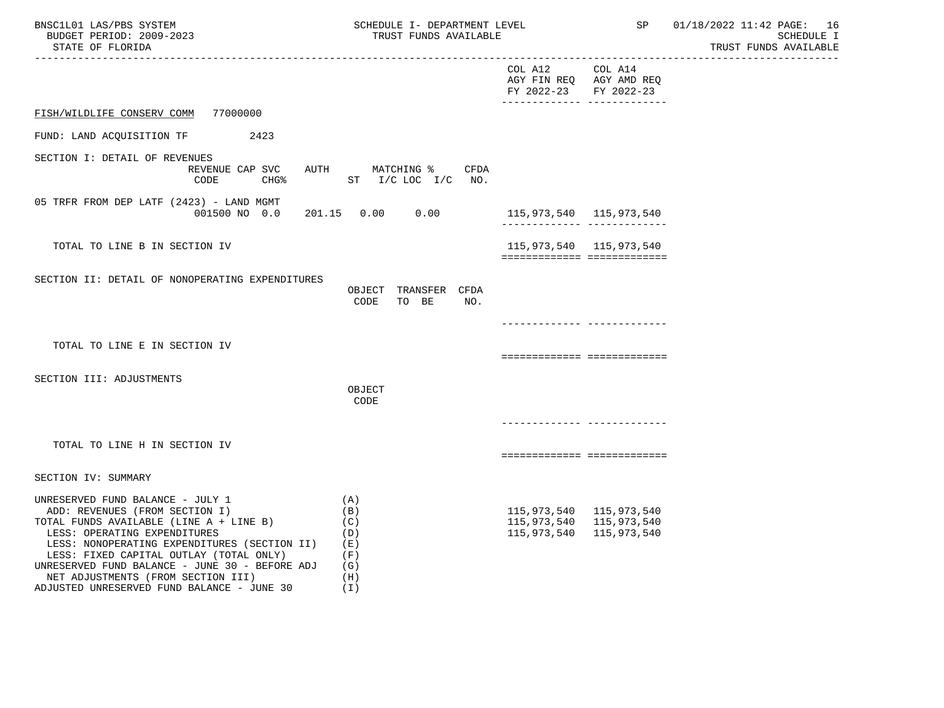| BNSC1L01 LAS/PBS SYSTEM<br>BUDGET PERIOD: 2009-2023<br>STATE OF FLORIDA                                                                                                                                                                                                                                                                                                            | SCHEDULE I- DEPARTMENT LEVEL<br>TRUST FUNDS AVAILABLE                |                                          | SP                                                                    | 01/18/2022 11:42 PAGE: 16<br>SCHEDULE I<br>TRUST FUNDS AVAILABLE |
|------------------------------------------------------------------------------------------------------------------------------------------------------------------------------------------------------------------------------------------------------------------------------------------------------------------------------------------------------------------------------------|----------------------------------------------------------------------|------------------------------------------|-----------------------------------------------------------------------|------------------------------------------------------------------|
|                                                                                                                                                                                                                                                                                                                                                                                    |                                                                      | COL A12 COL A14<br>FY 2022-23 FY 2022-23 | AGY FIN REQ AGY AMD REQ<br>________________________________           |                                                                  |
| FISH/WILDLIFE CONSERV COMM 77000000                                                                                                                                                                                                                                                                                                                                                |                                                                      |                                          |                                                                       |                                                                  |
| FUND: LAND ACQUISITION TF 2423                                                                                                                                                                                                                                                                                                                                                     |                                                                      |                                          |                                                                       |                                                                  |
| SECTION I: DETAIL OF REVENUES<br>REVENUE CAP SVC                                                                                                                                                                                                                                                                                                                                   | AUTH MATCHING % CFDA<br>CODE CHG <sup>&amp;</sup> ST I/C LOC I/C NO. |                                          |                                                                       |                                                                  |
| 05 TRFR FROM DEP LATF (2423) - LAND MGMT<br>001500 NO 0.0                                                                                                                                                                                                                                                                                                                          | 201.15  0.00  0.00                                                   | 115,973,540 115,973,540                  | ________________________________                                      |                                                                  |
| TOTAL TO LINE B IN SECTION IV                                                                                                                                                                                                                                                                                                                                                      |                                                                      |                                          | 115,973,540 115,973,540<br>============================               |                                                                  |
| SECTION II: DETAIL OF NONOPERATING EXPENDITURES                                                                                                                                                                                                                                                                                                                                    | OBJECT TRANSFER CFDA<br>TO BE NO.<br>CODE                            |                                          |                                                                       |                                                                  |
|                                                                                                                                                                                                                                                                                                                                                                                    |                                                                      |                                          | -------------- -------------                                          |                                                                  |
| TOTAL TO LINE E IN SECTION IV                                                                                                                                                                                                                                                                                                                                                      |                                                                      |                                          | ===========================                                           |                                                                  |
| SECTION III: ADJUSTMENTS                                                                                                                                                                                                                                                                                                                                                           | OBJECT<br>CODE                                                       |                                          |                                                                       |                                                                  |
|                                                                                                                                                                                                                                                                                                                                                                                    |                                                                      |                                          | _____________ ____________                                            |                                                                  |
| TOTAL TO LINE H IN SECTION IV                                                                                                                                                                                                                                                                                                                                                      |                                                                      |                                          | ===========================                                           |                                                                  |
| SECTION IV: SUMMARY                                                                                                                                                                                                                                                                                                                                                                |                                                                      |                                          |                                                                       |                                                                  |
| UNRESERVED FUND BALANCE - JULY 1<br>ADD: REVENUES (FROM SECTION I)<br>TOTAL FUNDS AVAILABLE (LINE A + LINE B)<br>LESS: OPERATING EXPENDITURES<br>LESS: NONOPERATING EXPENDITURES (SECTION II) (E)<br>LESS: FIXED CAPITAL OUTLAY (TOTAL ONLY)<br>UNRESERVED FUND BALANCE - JUNE 30 - BEFORE ADJ<br>NET ADJUSTMENTS (FROM SECTION III)<br>ADJUSTED UNRESERVED FUND BALANCE - JUNE 30 | (A)<br>(B)<br>(C)<br>(D)<br>(F)<br>(G)<br>(H)<br>(T)                 | 115,973,540                              | 115, 973, 540 115, 973, 540<br>115,973,540 115,973,540<br>115,973,540 |                                                                  |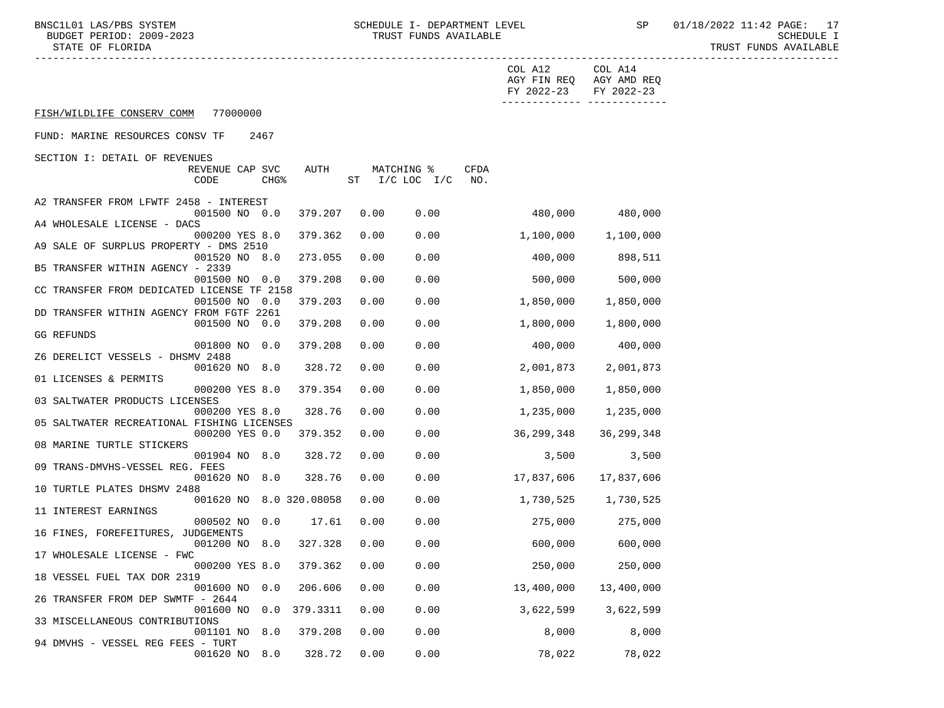BNSC1L01 LAS/PBS SYSTEM SOHEDULE I- DEPARTMENT LEVEL SP 01/18/2022 11:42 PAGE: 17<br>BUDGET PERIOD: 2009-2023 TRUST FUNDS AVAILABLE BUDGET PERIOD: 2009-2023 TRUST FUNDS AVAILABLE<br>STATE OF FLORIDA

|                                                           |          |      |                |      | COL A12    | COL A14                               |
|-----------------------------------------------------------|----------|------|----------------|------|------------|---------------------------------------|
|                                                           |          |      |                |      | FY 2022-23 | AGY FIN REQ AGY AMD REQ<br>FY 2022-23 |
| FISH/WILDLIFE CONSERV COMM<br>77000000                    |          |      |                |      |            | -------------- --------------         |
| FUND: MARINE RESOURCES CONSV TF<br>2467                   |          |      |                |      |            |                                       |
| SECTION I: DETAIL OF REVENUES                             |          |      |                |      |            |                                       |
| REVENUE CAP SVC                                           | AUTH     |      | MATCHING %     | CFDA |            |                                       |
| CODE<br>CHG <sup>8</sup>                                  |          |      | ST I/C LOC I/C | NO.  |            |                                       |
| A2 TRANSFER FROM LFWTF 2458 - INTEREST                    |          |      |                |      |            |                                       |
| 001500 NO 0.0                                             | 379.207  | 0.00 | 0.00           |      | 480,000    | 480,000                               |
| A4 WHOLESALE LICENSE - DACS                               |          |      |                |      |            |                                       |
| 000200 YES 8.0<br>A9 SALE OF SURPLUS PROPERTY - DMS 2510  | 379.362  | 0.00 | 0.00           |      | 1,100,000  | 1,100,000                             |
| 001520 NO 8.0                                             | 273.055  | 0.00 | 0.00           |      | 400,000    | 898,511                               |
| B5 TRANSFER WITHIN AGENCY - 2339                          |          |      |                |      |            |                                       |
| 001500 NO 0.0                                             | 379.208  | 0.00 | 0.00           |      | 500,000    | 500,000                               |
| CC TRANSFER FROM DEDICATED LICENSE TF 2158                |          |      |                |      |            |                                       |
| 001500 NO 0.0<br>DD TRANSFER WITHIN AGENCY FROM FGTF 2261 | 379.203  | 0.00 | 0.00           |      | 1,850,000  | 1,850,000                             |
| 001500 NO 0.0                                             | 379.208  | 0.00 | 0.00           |      | 1,800,000  | 1,800,000                             |
| GG REFUNDS                                                |          |      |                |      |            |                                       |
| 001800 NO 0.0                                             | 379.208  | 0.00 | 0.00           |      | 400,000    | 400,000                               |
| Z6 DERELICT VESSELS - DHSMV 2488                          |          |      |                |      |            |                                       |
| 001620 NO 8.0<br>01 LICENSES & PERMITS                    | 328.72   | 0.00 | 0.00           |      | 2,001,873  | 2,001,873                             |
| 000200 YES 8.0                                            | 379.354  | 0.00 | 0.00           |      | 1,850,000  | 1,850,000                             |
| 03 SALTWATER PRODUCTS LICENSES                            |          |      |                |      |            |                                       |
| 000200 YES 8.0                                            | 328.76   | 0.00 | 0.00           |      | 1,235,000  | 1,235,000                             |
| 05 SALTWATER RECREATIONAL FISHING LICENSES                |          |      |                |      |            |                                       |
| 000200 YES 0.0                                            | 379.352  | 0.00 | 0.00           |      | 36,299,348 | 36, 299, 348                          |
| 08 MARINE TURTLE STICKERS<br>001904 NO 8.0                | 328.72   | 0.00 | 0.00           |      | 3,500      | 3,500                                 |
| 09 TRANS-DMVHS-VESSEL REG. FEES                           |          |      |                |      |            |                                       |
| 001620 NO 8.0                                             | 328.76   | 0.00 | 0.00           |      | 17,837,606 | 17,837,606                            |
| 10 TURTLE PLATES DHSMV 2488                               |          |      |                |      |            |                                       |
| 001620 NO 8.0 320.08058                                   |          | 0.00 | 0.00           |      | 1,730,525  | 1,730,525                             |
| 11 INTEREST EARNINGS<br>000502 NO 0.0                     | 17.61    | 0.00 | 0.00           |      | 275,000    | 275,000                               |
| 16 FINES, FOREFEITURES, JUDGEMENTS                        |          |      |                |      |            |                                       |
| 001200 NO 8.0 327.328                                     |          | 0.00 | 0.00           |      | 600,000    | 600,000                               |
| 17 WHOLESALE LICENSE - FWC                                |          |      |                |      |            |                                       |
| 000200 YES 8.0 379.362 0.00                               |          |      | 0.00           |      | 250,000    | 250,000                               |
| 18 VESSEL FUEL TAX DOR 2319<br>001600 NO 0.0              | 206.606  | 0.00 | 0.00           |      | 13,400,000 | 13,400,000                            |
| 26 TRANSFER FROM DEP SWMTF - 2644                         |          |      |                |      |            |                                       |
| 001600 NO<br>0.0                                          | 379.3311 | 0.00 | 0.00           |      | 3,622,599  | 3,622,599                             |
| 33 MISCELLANEOUS CONTRIBUTIONS                            |          |      |                |      |            |                                       |
| 8.0<br>001101 NO                                          | 379.208  | 0.00 | 0.00           |      | 8,000      | 8,000                                 |
| 94 DMVHS - VESSEL REG FEES - TURT<br>001620 NO 8.0        | 328.72   | 0.00 | 0.00           |      | 78,022     | 78,022                                |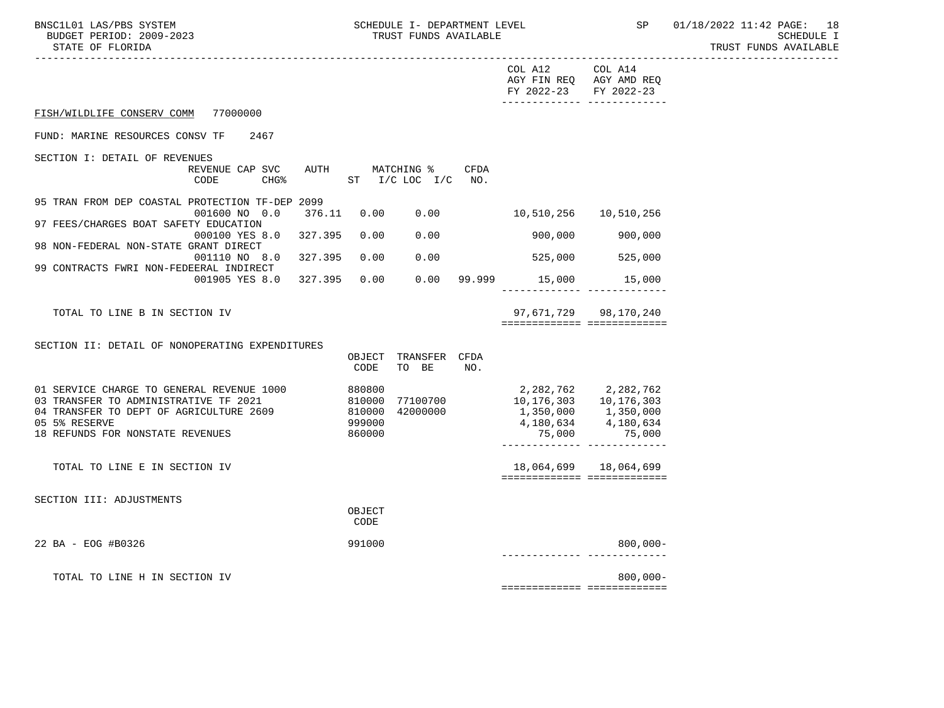| STATE OF FLORIDA                                                                                                                                                                          |                                               |      |                                  |      |                                                                       |                                                       | TRUST FUNDS AVAILABLE |
|-------------------------------------------------------------------------------------------------------------------------------------------------------------------------------------------|-----------------------------------------------|------|----------------------------------|------|-----------------------------------------------------------------------|-------------------------------------------------------|-----------------------|
|                                                                                                                                                                                           |                                               |      |                                  |      | COL A12<br>AGY FIN REQ AGY AMD REQ<br>FY 2022-23                      | COL A14<br>FY 2022-23                                 |                       |
| FISH/WILDLIFE CONSERV COMM<br>77000000                                                                                                                                                    |                                               |      |                                  |      |                                                                       |                                                       |                       |
| FUND: MARINE RESOURCES CONSV TF<br>2467                                                                                                                                                   |                                               |      |                                  |      |                                                                       |                                                       |                       |
| SECTION I: DETAIL OF REVENUES<br>REVENUE CAP SVC<br>CHG <sup>8</sup><br>CODE                                                                                                              | AUTH                                          |      | MATCHING %<br>ST I/C LOC I/C NO. | CFDA |                                                                       |                                                       |                       |
| 95 TRAN FROM DEP COASTAL PROTECTION TF-DEP 2099<br>001600 NO 0.0<br>97 FEES/CHARGES BOAT SAFETY EDUCATION                                                                                 | 376.11                                        |      | 0.00 0.00                        |      |                                                                       |                                                       |                       |
| 000100 YES 8.0 327.395<br>98 NON-FEDERAL NON-STATE GRANT DIRECT                                                                                                                           | 0.00                                          |      | 0.00                             |      | 900,000                                                               | 900,000                                               |                       |
| 001110 NO 8.0 327.395<br>99 CONTRACTS FWRI NON-FEDEERAL INDIRECT                                                                                                                          | 0.00                                          |      | 0.00                             |      | 525,000                                                               | 525,000                                               |                       |
| 001905 YES 8.0 327.395                                                                                                                                                                    |                                               | 0.00 |                                  |      | $0.00$ 99.999 15,000                                                  | 15,000                                                |                       |
| TOTAL TO LINE B IN SECTION IV                                                                                                                                                             |                                               |      |                                  |      |                                                                       | 97,671,729 98,170,240<br>============================ |                       |
| SECTION II: DETAIL OF NONOPERATING EXPENDITURES                                                                                                                                           | CODE                                          |      | OBJECT TRANSFER CFDA<br>TO BE    | NO.  |                                                                       |                                                       |                       |
| 01 SERVICE CHARGE TO GENERAL REVENUE 1000<br>03 TRANSFER TO ADMINISTRATIVE TF 2021<br>04 TRANSFER TO DEPT OF AGRICULTURE 2609 810000<br>05 5% RESERVE<br>18 REFUNDS FOR NONSTATE REVENUES | 880800<br>810000 77100700<br>999000<br>860000 |      | 42000000                         |      | 10,176,303   10,176,303<br>1,350,000 1,350,000<br>4,180,634<br>75,000 | 2,282,762 2,282,762<br>4,180,634<br>75,000            |                       |
| TOTAL TO LINE E IN SECTION IV                                                                                                                                                             |                                               |      |                                  |      |                                                                       | 18,064,699 18,064,699<br>============================ |                       |
| SECTION III: ADJUSTMENTS                                                                                                                                                                  | OBJECT<br>CODE                                |      |                                  |      |                                                                       |                                                       |                       |
| 22 BA - EOG #B0326                                                                                                                                                                        | 991000                                        |      |                                  |      |                                                                       | 800,000-                                              |                       |
| TOTAL TO LINE H IN SECTION IV                                                                                                                                                             |                                               |      |                                  |      |                                                                       | $800.000 -$<br>*************** *************          |                       |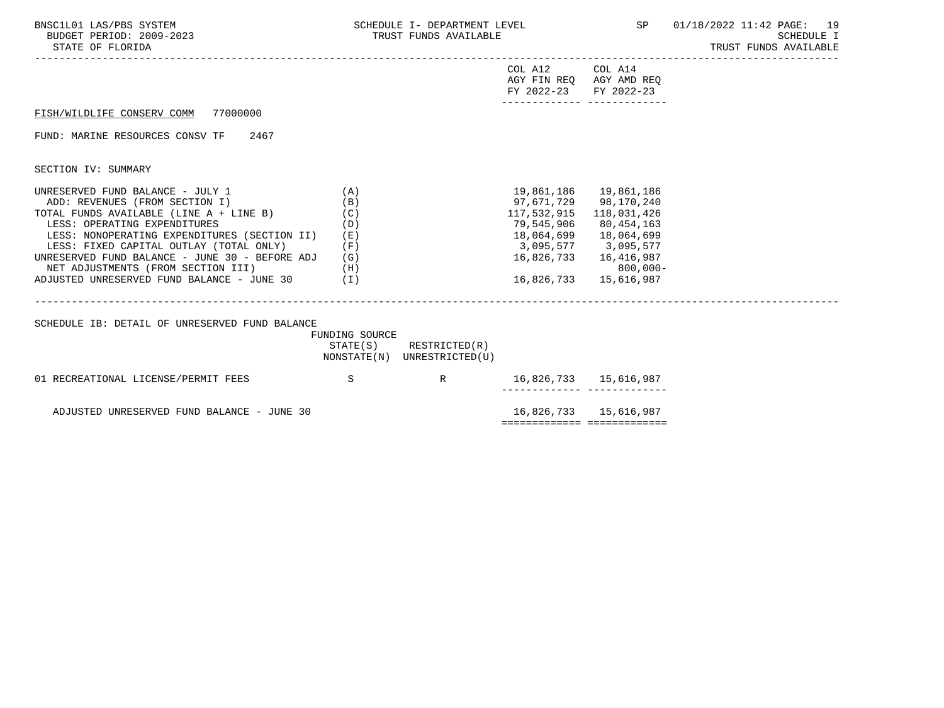| SCHEDULE I- DEPARTMENT LEVEL<br>TRUST FUNDS AVAILABLE |                                                                                                                                                        |                                                                         | SP 01/18/2022 11:42 PAGE: 19<br>SCHEDULE I<br>TRUST FUNDS AVAILABLE                                                                                                                                                                                                                                                                                   |
|-------------------------------------------------------|--------------------------------------------------------------------------------------------------------------------------------------------------------|-------------------------------------------------------------------------|-------------------------------------------------------------------------------------------------------------------------------------------------------------------------------------------------------------------------------------------------------------------------------------------------------------------------------------------------------|
|                                                       |                                                                                                                                                        |                                                                         |                                                                                                                                                                                                                                                                                                                                                       |
|                                                       |                                                                                                                                                        |                                                                         |                                                                                                                                                                                                                                                                                                                                                       |
|                                                       |                                                                                                                                                        |                                                                         |                                                                                                                                                                                                                                                                                                                                                       |
|                                                       |                                                                                                                                                        |                                                                         |                                                                                                                                                                                                                                                                                                                                                       |
| (D)<br>(E)<br>(F)<br>(G)                              |                                                                                                                                                        |                                                                         |                                                                                                                                                                                                                                                                                                                                                       |
|                                                       |                                                                                                                                                        |                                                                         |                                                                                                                                                                                                                                                                                                                                                       |
|                                                       |                                                                                                                                                        |                                                                         |                                                                                                                                                                                                                                                                                                                                                       |
|                                                       |                                                                                                                                                        |                                                                         |                                                                                                                                                                                                                                                                                                                                                       |
|                                                       | (A)<br>(B)<br>(C)<br>NET ADJUSTMENTS (FROM SECTION III) (H)<br>ADJUSTED UNRESERVED FUND BALANCE - JUNE 30 (I)<br>01 RECREATIONAL LICENSE/PERMIT FEES S | FUNDING SOURCE<br>STATE(S) RESTRICTED(R)<br>NONSTATE(N) UNRESTRICTED(U) | COL A12 COL A14<br>AGY FIN REQ AGY AMD REQ<br>FY 2022-23 FY 2022-23<br>19,861,186  19,861,186<br>97,671,729 98,170,240<br>117,532,915 118,031,426<br>79,545,906 80,454,163<br>3,095,577 3,095,577<br>16,826,733 16,416,987<br>$800,000-$<br>16,826,733   15,616,987<br>R 16,826,733 15,616,987<br>__________ _____________<br>16,826,733   15,616,987 |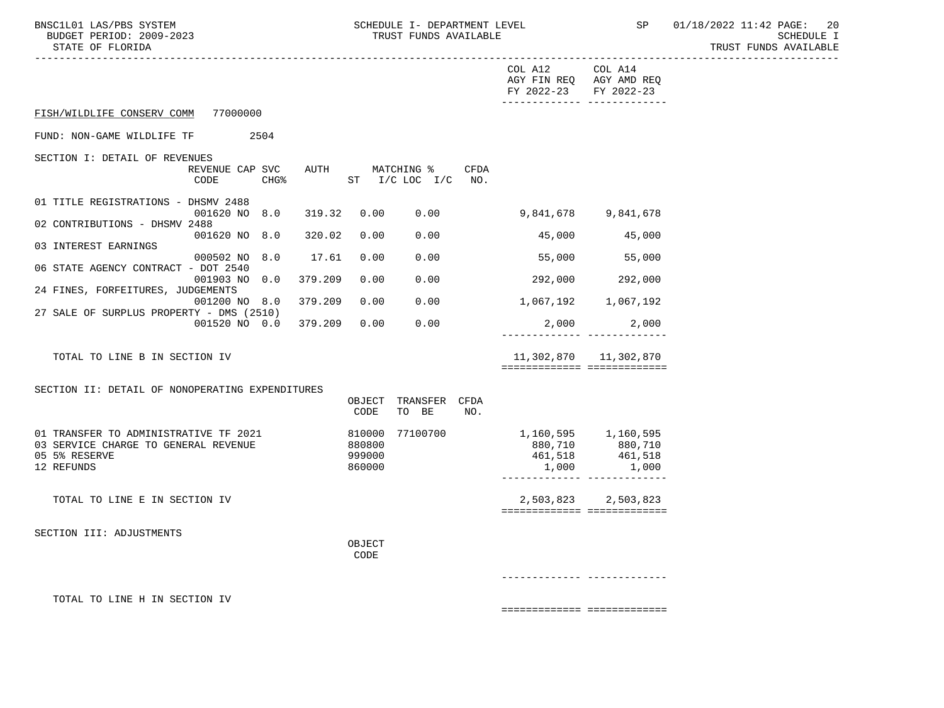BNSC1L01 LAS/PBS SYSTEM SCHEDULE I- DEPARTMENT LEVEL SP 01/18/2022 11:42 PAGE: 20<br>BUDGET PERIOD: 2009-2023 TRUST FUNDS AVAILABLE

TRUST FUNDS AVAILABLE

|                                                                                                              |                                               | COL A12 COL A14<br>AGY FIN REQ AGY AMD REQ<br>FY 2022-23 FY 2022-23 | -------------- --------------                                                    |
|--------------------------------------------------------------------------------------------------------------|-----------------------------------------------|---------------------------------------------------------------------|----------------------------------------------------------------------------------|
| FISH/WILDLIFE CONSERV COMM 77000000                                                                          |                                               |                                                                     |                                                                                  |
| FUND: NON-GAME WILDLIFE TF<br>2504                                                                           |                                               |                                                                     |                                                                                  |
| SECTION I: DETAIL OF REVENUES<br>REVENUE CAP SVC<br>CODE<br>CHG <sup>8</sup>                                 | AUTH MATCHING %<br>CFDA<br>ST I/C LOC I/C NO. |                                                                     |                                                                                  |
| 01 TITLE REGISTRATIONS - DHSMV 2488<br>001620 NO 8.0<br>319.32                                               | 0.00<br>0.00                                  | 9,841,678 9,841,678                                                 |                                                                                  |
| 02 CONTRIBUTIONS - DHSMV 2488<br>001620 NO 8.0<br>320.02                                                     | 0.00<br>0.00                                  |                                                                     | 45,000 45,000                                                                    |
| 03 INTEREST EARNINGS<br>000502 NO 8.0<br>17.61                                                               | 0.00<br>0.00                                  | 55,000                                                              | 55,000                                                                           |
| 06 STATE AGENCY CONTRACT - DOT 2540<br>001903 NO 0.0<br>379.209                                              | 0.00<br>0.00                                  | 292,000 292,000                                                     |                                                                                  |
| 24 FINES, FORFEITURES, JUDGEMENTS                                                                            |                                               |                                                                     |                                                                                  |
| 379.209<br>001200 NO 8.0<br>27 SALE OF SURPLUS PROPERTY - DMS (2510)                                         | 0.00<br>0.00                                  | 1,067,192 1,067,192                                                 |                                                                                  |
| 001520 NO 0.0<br>379.209                                                                                     | 0.00<br>0.00                                  |                                                                     | 2,000<br>2,000<br>-------------- --------------                                  |
| TOTAL TO LINE B IN SECTION IV                                                                                |                                               |                                                                     | 11,302,870    11,302,870<br>============================                         |
| SECTION II: DETAIL OF NONOPERATING EXPENDITURES                                                              |                                               |                                                                     |                                                                                  |
|                                                                                                              | OBJECT TRANSFER CFDA<br>TO BE<br>CODE<br>NO.  |                                                                     |                                                                                  |
| 01 TRANSFER TO ADMINISTRATIVE TF 2021<br>03 SERVICE CHARGE TO GENERAL REVENUE<br>05 5% RESERVE<br>12 REFUNDS | 810000 77100700<br>880800<br>999000<br>860000 | 1,160,595 1,160,595<br>1,000                                        | 880,710 880,710<br>461,518 461,518<br>1,000<br>_________________________________ |
| TOTAL TO LINE E IN SECTION IV                                                                                |                                               |                                                                     | 2,503,823 2,503,823<br>============================                              |
| SECTION III: ADJUSTMENTS                                                                                     |                                               |                                                                     |                                                                                  |
|                                                                                                              | OBJECT<br>CODE                                |                                                                     |                                                                                  |
|                                                                                                              |                                               |                                                                     |                                                                                  |
| TOTAL TO LINE H IN SECTION IV                                                                                |                                               |                                                                     |                                                                                  |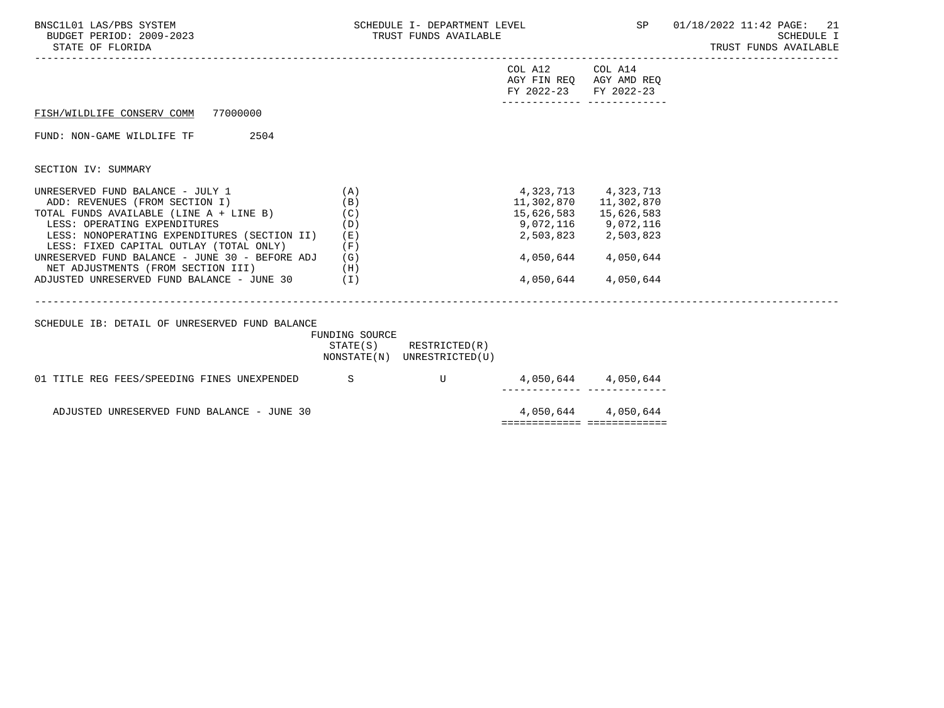| BNSC1L01 LAS/PBS SYSTEM<br>BUDGET PERIOD: 2009-2023<br>STATE OF FLORIDA                                                                                                                                                                                                                                                                                                                | SCHEDULE I- DEPARTMENT LEVEL<br>TRUST FUNDS AVAILABLE |                                                            |                                                                                              |                                                                                                | SP 01/18/2022 11:42 PAGE: 21<br>SCHEDULE I<br>TRUST FUNDS AVAILABLE |
|----------------------------------------------------------------------------------------------------------------------------------------------------------------------------------------------------------------------------------------------------------------------------------------------------------------------------------------------------------------------------------------|-------------------------------------------------------|------------------------------------------------------------|----------------------------------------------------------------------------------------------|------------------------------------------------------------------------------------------------|---------------------------------------------------------------------|
|                                                                                                                                                                                                                                                                                                                                                                                        |                                                       |                                                            | COL A12 COL A14<br>AGY FIN REQ AGY AMD REQ<br>FY 2022-23<br>________________________________ | FY 2022-23                                                                                     |                                                                     |
| FISH/WILDLIFE CONSERV COMM 77000000                                                                                                                                                                                                                                                                                                                                                    |                                                       |                                                            |                                                                                              |                                                                                                |                                                                     |
| 2504<br>FUND: NON-GAME WILDLIFE TF                                                                                                                                                                                                                                                                                                                                                     |                                                       |                                                            |                                                                                              |                                                                                                |                                                                     |
| SECTION IV: SUMMARY                                                                                                                                                                                                                                                                                                                                                                    |                                                       |                                                            |                                                                                              |                                                                                                |                                                                     |
| UNRESERVED FUND BALANCE - JULY 1<br>ADD: REVENUES (FROM SECTION I)<br>TOTAL FUNDS AVAILABLE (LINE A + LINE B)<br>LESS: OPERATING EXPENDITURES<br>LESS: NONOPERATING EXPENDITURES (SECTION II)<br>LESS: FIXED CAPITAL OUTLAY (TOTAL ONLY)<br>UNRESERVED FUND BALANCE - JUNE 30 - BEFORE ADJ<br>NET ADJUSTMENTS (FROM SECTION III) (H)<br>ADJUSTED UNRESERVED FUND BALANCE - JUNE 30 (I) | (A)<br>(B)<br>(C)<br>(D)<br>(E)<br>(F)<br>(G)         |                                                            | 4,323,713 4,323,713<br>15,626,583<br>9,072,116 9,072,116<br>4,050,644                        | 11,302,870 11,302,870<br>15,626,583<br>2,503,823 2,503,823<br>4,050,644 4,050,644<br>4,050,644 |                                                                     |
| SCHEDULE IB: DETAIL OF UNRESERVED FUND BALANCE                                                                                                                                                                                                                                                                                                                                         | FUNDING SOURCE                                        | $STATE(S)$ RESTRICTED $(R)$<br>NONSTATE(N) UNRESTRICTED(U) |                                                                                              |                                                                                                |                                                                     |
| 01 TITLE REG FEES/SPEEDING FINES UNEXPENDED S                                                                                                                                                                                                                                                                                                                                          |                                                       |                                                            | -------- ----                                                                                | 4,050,644 4,050,644                                                                            |                                                                     |
| ADJUSTED UNRESERVED FUND BALANCE - JUNE 30                                                                                                                                                                                                                                                                                                                                             |                                                       |                                                            |                                                                                              | 4,050,644 4,050,644                                                                            |                                                                     |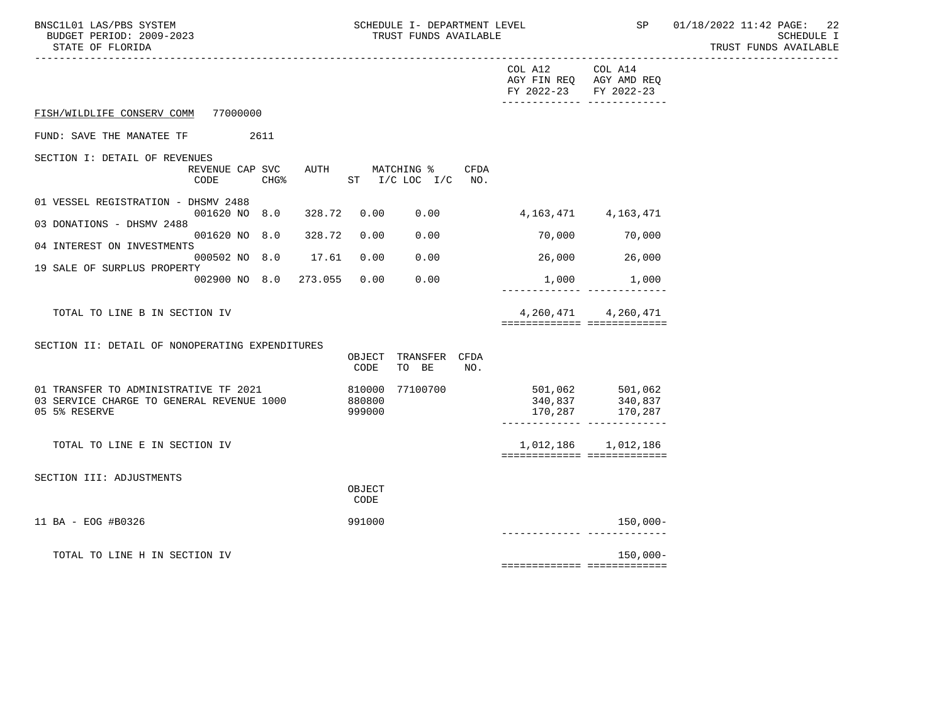-----------------------------------------------------------------------------------------------------------------------------------

|                                                                                                     |                  |         |                            |                                   |             | COL A12 COL A14<br>AGY FIN REQ AGY AMD REQ<br>FY 2022-23 | FY 2022-23                                          |
|-----------------------------------------------------------------------------------------------------|------------------|---------|----------------------------|-----------------------------------|-------------|----------------------------------------------------------|-----------------------------------------------------|
| FISH/WILDLIFE CONSERV COMM 77000000                                                                 |                  |         |                            |                                   |             |                                                          |                                                     |
| FUND: SAVE THE MANATEE TF                                                                           | 2611             |         |                            |                                   |             |                                                          |                                                     |
| SECTION I: DETAIL OF REVENUES<br>REVENUE CAP SVC<br>CODE                                            | CHG <sup>8</sup> |         |                            | AUTH MATCHING %<br>ST I/C LOC I/C | CFDA<br>NO. |                                                          |                                                     |
| 01 VESSEL REGISTRATION - DHSMV 2488<br>001620 NO 8.0<br>03 DONATIONS - DHSMV 2488                   |                  | 328.72  | 0.00                       | 0.00                              |             |                                                          | 4, 163, 471 4, 163, 471                             |
| 001620 NO 8.0                                                                                       |                  | 328.72  | 0.00                       | 0.00                              |             | 70,000                                                   | 70,000                                              |
| 04 INTEREST ON INVESTMENTS<br>000502 NO 8.0                                                         |                  | 17.61   | 0.00                       | 0.00                              |             | 26,000                                                   | 26,000                                              |
| 19 SALE OF SURPLUS PROPERTY<br>002900 NO 8.0                                                        |                  | 273.055 | 0.00                       | 0.00                              |             | ----------                                               | 1,000 1,000                                         |
| TOTAL TO LINE B IN SECTION IV                                                                       |                  |         |                            |                                   |             | ============================                             | 4, 260, 471 4, 260, 471                             |
| SECTION II: DETAIL OF NONOPERATING EXPENDITURES                                                     |                  |         | OBJECT<br>CODE             | TRANSFER<br>TO BE                 | CFDA<br>NO. |                                                          |                                                     |
| 01 TRANSFER TO ADMINISTRATIVE TF 2021<br>03 SERVICE CHARGE TO GENERAL REVENUE 1000<br>05 5% RESERVE |                  |         | 810000<br>880800<br>999000 | 77100700                          |             | 340,837<br>170,287                                       | 501,062 501,062<br>340,837<br>170,287               |
| TOTAL TO LINE E IN SECTION IV                                                                       |                  |         |                            |                                   |             |                                                          | 1,012,186 1,012,186<br>============================ |
| SECTION III: ADJUSTMENTS                                                                            |                  |         | OBJECT<br>CODE             |                                   |             |                                                          |                                                     |
| 11 BA - EOG #B0326                                                                                  |                  |         | 991000                     |                                   |             | --------- -------                                        | $150,000-$                                          |
| TOTAL TO LINE H IN SECTION IV                                                                       |                  |         |                            |                                   |             | ============================                             | $150,000 -$                                         |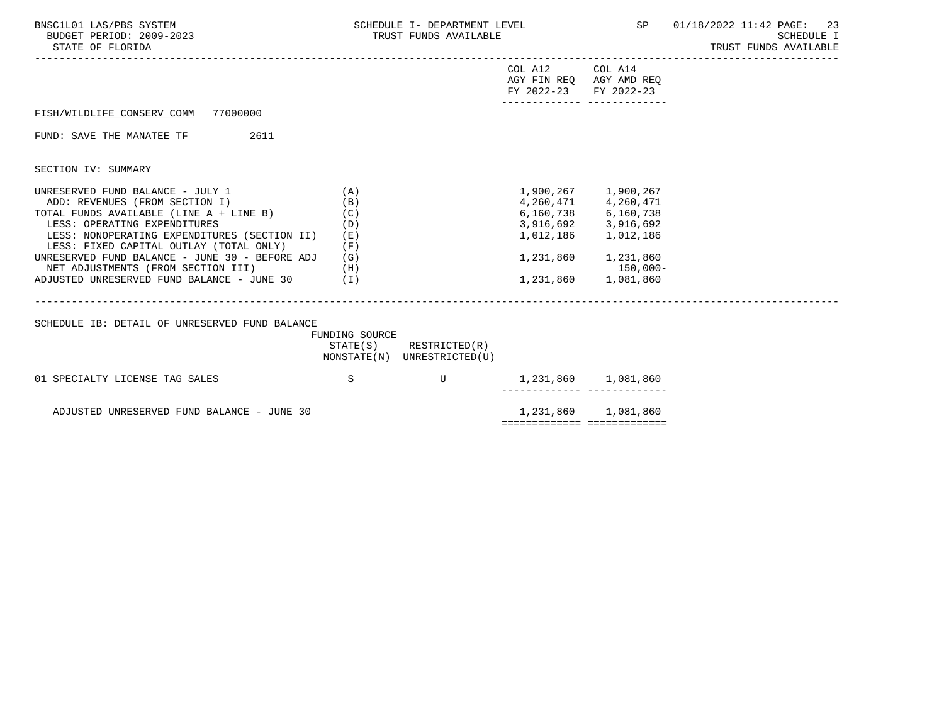| BNSC1L01 LAS/PBS SYSTEM<br>BUDGET PERIOD: 2009-2023<br>STATE OF FLORIDA                                                                                                                                                                                                                                                                                                                | SCHEDULE I- DEPARTMENT LEVEL<br>TRUST FUNDS AVAILABLE |                                                       |                                                                                                     |                                                                                                                                                                                   | SP 01/18/2022 11:42 PAGE: 23<br>SCHEDULE I<br>TRUST FUNDS AVAILABLE<br>-------------- |
|----------------------------------------------------------------------------------------------------------------------------------------------------------------------------------------------------------------------------------------------------------------------------------------------------------------------------------------------------------------------------------------|-------------------------------------------------------|-------------------------------------------------------|-----------------------------------------------------------------------------------------------------|-----------------------------------------------------------------------------------------------------------------------------------------------------------------------------------|---------------------------------------------------------------------------------------|
|                                                                                                                                                                                                                                                                                                                                                                                        |                                                       |                                                       | COL A12 COL A14<br>AGY FIN REQ AGY AMD REQ<br>FY 2022-23 FY 2022-23<br>-------------- ------------- |                                                                                                                                                                                   |                                                                                       |
| FISH/WILDLIFE CONSERV COMM 77000000                                                                                                                                                                                                                                                                                                                                                    |                                                       |                                                       |                                                                                                     |                                                                                                                                                                                   |                                                                                       |
| 2611<br>FUND: SAVE THE MANATEE TF                                                                                                                                                                                                                                                                                                                                                      |                                                       |                                                       |                                                                                                     |                                                                                                                                                                                   |                                                                                       |
| SECTION IV: SUMMARY                                                                                                                                                                                                                                                                                                                                                                    |                                                       |                                                       |                                                                                                     |                                                                                                                                                                                   |                                                                                       |
| UNRESERVED FUND BALANCE - JULY 1<br>ADD: REVENUES (FROM SECTION I)<br>TOTAL FUNDS AVAILABLE (LINE A + LINE B)<br>LESS: OPERATING EXPENDITURES<br>LESS: NONOPERATING EXPENDITURES (SECTION II)<br>LESS: FIXED CAPITAL OUTLAY (TOTAL ONLY)<br>UNRESERVED FUND BALANCE - JUNE 30 - BEFORE ADJ<br>NET ADJUSTMENTS (FROM SECTION III) (H)<br>ADJUSTED UNRESERVED FUND BALANCE - JUNE 30 (I) | (A)<br>(B)<br>(C)<br>(D)<br>(E)<br>(F)<br>(G)         |                                                       |                                                                                                     | 1,900,267 1,900,267<br>4,260,471 4,260,471<br>6,160,738 6,160,738<br>3,916,692 3,916,692<br>1,012,186 1,012,186<br>$1, 231, 860$ $1, 231, 860$<br>150,000-<br>1,231,860 1,081,860 |                                                                                       |
| SCHEDULE IB: DETAIL OF UNRESERVED FUND BALANCE                                                                                                                                                                                                                                                                                                                                         | FUNDING SOURCE                                        |                                                       |                                                                                                     |                                                                                                                                                                                   |                                                                                       |
|                                                                                                                                                                                                                                                                                                                                                                                        |                                                       | STATE(S) RESTRICTED(R)<br>NONSTATE(N) UNRESTRICTED(U) |                                                                                                     |                                                                                                                                                                                   |                                                                                       |
| 01 SPECIALTY LICENSE TAG SALES                                                                                                                                                                                                                                                                                                                                                         | S                                                     | U 1,231,860 1,081,860                                 |                                                                                                     |                                                                                                                                                                                   |                                                                                       |
| ADJUSTED UNRESERVED FUND BALANCE - JUNE 30                                                                                                                                                                                                                                                                                                                                             |                                                       |                                                       | sessessessesse sessessessesse                                                                       | 1,231,860 1,081,860                                                                                                                                                               |                                                                                       |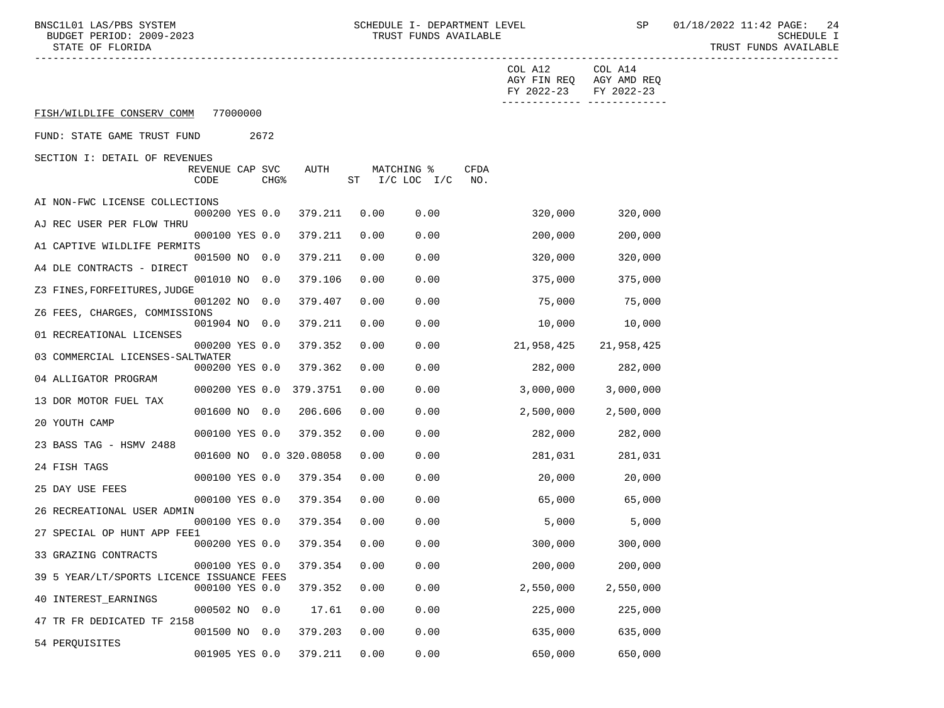|                                           |                         |          |                  |                             |      |                              |             | COL A12<br>FY 2022-23 | COL A14<br>AGY FIN REQ AGY AMD REQ<br>FY 2022-23 |
|-------------------------------------------|-------------------------|----------|------------------|-----------------------------|------|------------------------------|-------------|-----------------------|--------------------------------------------------|
| FISH/WILDLIFE CONSERV COMM                |                         | 77000000 |                  |                             |      |                              |             |                       |                                                  |
| FUND: STATE GAME TRUST FUND               |                         |          | 2672             |                             |      |                              |             |                       |                                                  |
| SECTION I: DETAIL OF REVENUES             | REVENUE CAP SVC<br>CODE |          | CHG <sup>8</sup> | AUTH                        |      | MATCHING %<br>ST I/C LOC I/C | CFDA<br>NO. |                       |                                                  |
| AI NON-FWC LICENSE COLLECTIONS            | 000200 YES 0.0          |          |                  | 379.211                     | 0.00 | 0.00                         |             | 320,000               | 320,000                                          |
| AJ REC USER PER FLOW THRU                 | 000100 YES 0.0          |          |                  | 379.211                     | 0.00 | 0.00                         |             | 200,000               | 200,000                                          |
| A1 CAPTIVE WILDLIFE PERMITS               | 001500 NO 0.0           |          |                  | 379.211                     | 0.00 | 0.00                         |             | 320,000               | 320,000                                          |
| A4 DLE CONTRACTS - DIRECT                 | 001010 NO 0.0           |          |                  | 379.106                     | 0.00 | 0.00                         |             | 375,000               | 375,000                                          |
| Z3 FINES, FORFEITURES, JUDGE              | 001202 NO 0.0           |          |                  | 379.407                     | 0.00 | 0.00                         |             | 75,000                | 75,000                                           |
| Z6 FEES, CHARGES, COMMISSIONS             | 001904 NO 0.0           |          |                  | 379.211                     | 0.00 | 0.00                         |             | 10,000                | 10,000                                           |
| 01 RECREATIONAL LICENSES                  | 000200 YES 0.0          |          |                  | 379.352                     | 0.00 | 0.00                         |             | 21,958,425            | 21,958,425                                       |
| 03 COMMERCIAL LICENSES-SALTWATER          | 000200 YES 0.0          |          |                  | 379.362                     | 0.00 | 0.00                         |             | 282,000               | 282,000                                          |
| 04 ALLIGATOR PROGRAM                      |                         |          |                  |                             |      |                              |             |                       |                                                  |
| 13 DOR MOTOR FUEL TAX                     |                         |          |                  | 000200 YES 0.0 379.3751     | 0.00 | 0.00                         |             | 3,000,000             | 3,000,000                                        |
| 20 YOUTH CAMP                             | 001600 NO 0.0           |          |                  | 206.606                     | 0.00 | 0.00                         |             | 2,500,000             | 2,500,000                                        |
| 23 BASS TAG - HSMV 2488                   | 000100 YES 0.0          |          |                  | 379.352                     | 0.00 | 0.00                         |             | 282,000               | 282,000                                          |
| 24 FISH TAGS                              |                         |          |                  | 001600 NO 0.0 320.08058     | 0.00 | 0.00                         |             | 281,031               | 281,031                                          |
| 25 DAY USE FEES                           | 000100 YES 0.0          |          |                  | 379.354                     | 0.00 | 0.00                         |             | 20,000                | 20,000                                           |
| 26 RECREATIONAL USER ADMIN                | 000100 YES 0.0          |          |                  | 379.354                     | 0.00 | 0.00                         |             | 65,000                | 65,000                                           |
| 27 SPECIAL OP HUNT APP FEE1               | 000100 YES 0.0          |          |                  | 379.354                     | 0.00 | 0.00                         |             | 5,000                 | 5,000                                            |
| 33 GRAZING CONTRACTS                      | 000200 YES 0.0          |          |                  | 379.354                     | 0.00 | 0.00                         |             | 300,000               | 300,000                                          |
| 39 5 YEAR/LT/SPORTS LICENCE ISSUANCE FEES |                         |          |                  | 000100 YES 0.0 379.354 0.00 |      | 0.00                         |             | 200,000               | 200,000                                          |
| 40 INTEREST_EARNINGS                      | 000100 YES 0.0          |          |                  | 379.352                     | 0.00 | 0.00                         |             | 2,550,000             | 2,550,000                                        |
| 47 TR FR DEDICATED TF 2158                | 000502 NO 0.0           |          |                  | 17.61                       | 0.00 | 0.00                         |             | 225,000               | 225,000                                          |
| 54 PERQUISITES                            | 001500 NO 0.0           |          |                  | 379.203                     | 0.00 | 0.00                         |             | 635,000               | 635,000                                          |
|                                           | 001905 YES 0.0          |          |                  | 379.211                     | 0.00 | 0.00                         |             | 650,000               | 650,000                                          |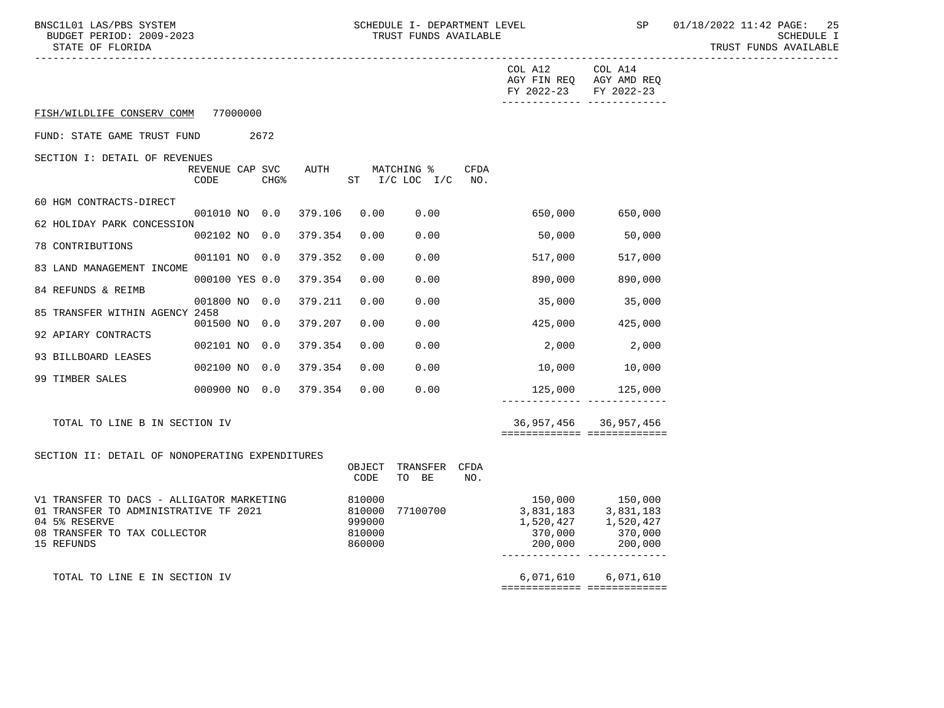BNSC1L01 LAS/PBS SYSTEM SCHEDULE I- DEPARTMENT LEVEL SP 01/18/2022 11:42 PAGE: 25<br>BUDGET PERIOD: 2009-2023 TRUST FUNDS AVAILABLE

|                                                        |                         |  |                  |                       |                |                                      |                                 | COL A12 COL A14<br>AGY FIN REQ AGY AMD REQ<br>FY 2022-23 FY 2022-23 | -------------- -------------- |
|--------------------------------------------------------|-------------------------|--|------------------|-----------------------|----------------|--------------------------------------|---------------------------------|---------------------------------------------------------------------|-------------------------------|
| FISH/WILDLIFE CONSERV COMM 77000000                    |                         |  |                  |                       |                |                                      |                                 |                                                                     |                               |
| FUND: STATE GAME TRUST FUND<br>2672                    |                         |  |                  |                       |                |                                      |                                 |                                                                     |                               |
| SECTION I: DETAIL OF REVENUES                          |                         |  |                  |                       |                |                                      |                                 |                                                                     |                               |
|                                                        | REVENUE CAP SVC<br>CODE |  | CHG <sup>8</sup> | AUTH                  |                | MATCHING %<br>ST $I/C$ LOC $I/C$ NO. | CFDA                            |                                                                     |                               |
| 60 HGM CONTRACTS-DIRECT                                |                         |  |                  |                       |                |                                      |                                 |                                                                     |                               |
| 62 HOLIDAY PARK CONCESSION                             | 001010 NO 0.0           |  |                  | 379.106               | 0.00           | 0.00                                 |                                 | 650,000                                                             | 650,000                       |
| 78 CONTRIBUTIONS                                       | 002102 NO 0.0           |  |                  | 379.354               | 0.00           | 0.00                                 |                                 | 50,000                                                              | 50,000                        |
|                                                        | 001101 NO 0.0           |  |                  | 379.352               | 0.00           | 0.00                                 |                                 | 517,000                                                             | 517,000                       |
| 83 LAND MANAGEMENT INCOME                              | 000100 YES 0.0          |  |                  | 379.354               | 0.00           | 0.00                                 |                                 | 890,000                                                             | 890,000                       |
| 84 REFUNDS & REIMB                                     | 001800 NO 0.0           |  |                  | 379.211               | 0.00           | 0.00                                 |                                 | 35,000                                                              | 35,000                        |
| 85 TRANSFER WITHIN AGENCY 2458                         | 001500 NO 0.0           |  |                  | 379.207               | 0.00           | 0.00                                 |                                 | 425,000                                                             | 425,000                       |
| 92 APIARY CONTRACTS                                    |                         |  |                  |                       | 0.00           | 0.00                                 |                                 |                                                                     | 2,000                         |
| 93 BILLBOARD LEASES                                    | 002101 NO 0.0           |  |                  | 379.354               |                |                                      |                                 | 2,000                                                               |                               |
| 99 TIMBER SALES                                        | 002100 NO 0.0           |  |                  | 379.354               | 0.00           | 0.00                                 |                                 | 10,000                                                              | 10,000                        |
|                                                        |                         |  |                  | 000900 NO 0.0 379.354 | 0.00           | 0.00                                 |                                 |                                                                     | 125,000 125,000               |
| TOTAL TO LINE B IN SECTION IV                          |                         |  |                  |                       |                |                                      |                                 |                                                                     | 36,957,456 36,957,456         |
|                                                        |                         |  |                  |                       |                |                                      |                                 | ============================                                        |                               |
| SECTION II: DETAIL OF NONOPERATING EXPENDITURES        |                         |  |                  |                       |                | TRANSFER CFDA                        |                                 |                                                                     |                               |
|                                                        |                         |  |                  |                       | OBJECT<br>CODE | TO BE                                | NO.                             |                                                                     |                               |
| V1 TRANSFER TO DACS - ALLIGATOR MARKETING              |                         |  |                  |                       | 810000         |                                      |                                 | 150,000 150,000<br>3,831,183 3,831,183                              |                               |
| 01 TRANSFER TO ADMINISTRATIVE TF 2021<br>04 5% RESERVE |                         |  |                  | 810000<br>999000      | 77100700       |                                      |                                 | $1,520,427$<br>$370,000$<br>$370,000$<br>$370,000$                  |                               |
| 08 TRANSFER TO TAX COLLECTOR<br>15 REFUNDS             |                         |  |                  | 810000<br>860000      |                |                                      | 200,000                         | 200,000                                                             |                               |
|                                                        |                         |  |                  |                       |                |                                      |                                 |                                                                     |                               |
| TOTAL TO LINE E IN SECTION IV                          |                         |  |                  |                       |                |                                      | _______________________________ | 6,071,610 6,071,610                                                 |                               |